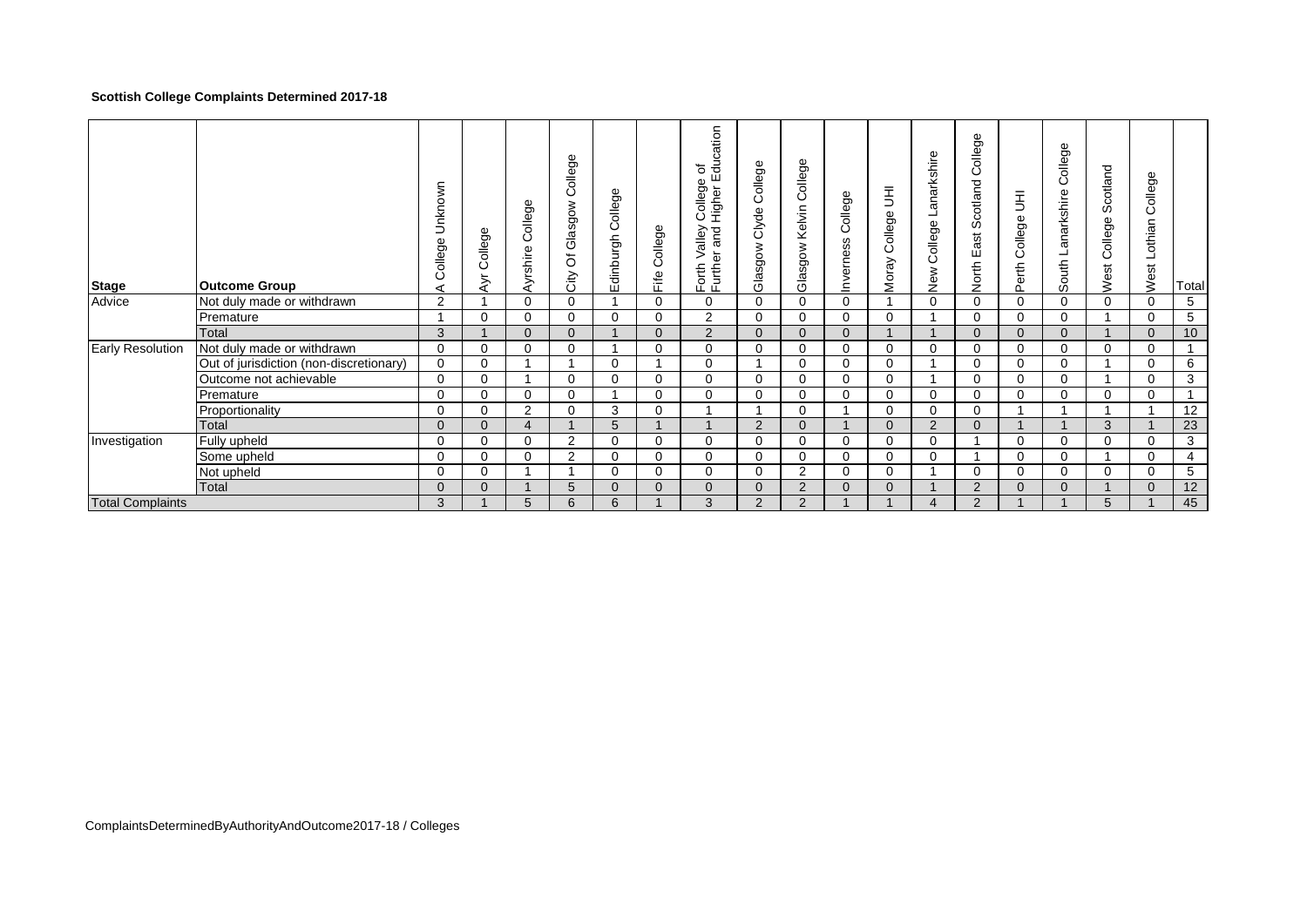## **Scottish College Complaints Determined 2017-18**

| <b>Stage</b>            | <b>Outcome Group</b>                    | Unknown<br>College<br>⋖ | College<br>ĄΓ | College<br>Ayrshire   | College<br>Glasgow<br>$\bar{o}$<br>City | College<br>Edinburgh | College<br>Fife | Education<br>৳<br>ollege<br>Colley<br>Higher<br>pue.<br>Kalle<br>Forth Va<br>Further | College<br>Clyde<br>Glasgow | College<br>Kelvin<br>Glasgow | College<br>Inverness | $\bar{\Xi}$<br>College<br>Moray | Lanarkshire<br>College I<br>New | College<br>Scotland<br>East<br>North | College UH<br>Perth      | College<br>anarkshire<br>South | Scotland<br>College<br>West | College<br>Lothian<br>West | Total |
|-------------------------|-----------------------------------------|-------------------------|---------------|-----------------------|-----------------------------------------|----------------------|-----------------|--------------------------------------------------------------------------------------|-----------------------------|------------------------------|----------------------|---------------------------------|---------------------------------|--------------------------------------|--------------------------|--------------------------------|-----------------------------|----------------------------|-------|
| Advice                  | Not duly made or withdrawn              | $\overline{2}$          |               | $\Omega$              | $\mathbf 0$                             |                      | $\Omega$        | 0                                                                                    | $\Omega$                    | 0                            | $\mathbf 0$          |                                 | 0                               | $\Omega$                             | $\mathbf{0}$             | $\mathbf 0$                    | $\Omega$                    | 0                          | 5     |
|                         | Premature                               |                         | $\Omega$      | $\Omega$              | 0                                       | $\Omega$             | $\Omega$        | 2                                                                                    | $\Omega$                    | $\Omega$                     | $\Omega$             | $\Omega$                        |                                 | $\Omega$                             | 0                        | $\mathbf 0$                    |                             | $\Omega$                   | 5     |
|                         | Total                                   | 3                       |               | $\Omega$              | $\Omega$                                |                      | $\Omega$        | 2                                                                                    | $\Omega$                    | $\Omega$                     | $\Omega$             |                                 |                                 | $\Omega$                             | $\mathbf{0}$             | $\Omega$                       | $\overline{A}$              | $\Omega$                   | 10    |
| <b>Early Resolution</b> | Not duly made or withdrawn              | $\mathbf 0$             | 0             | $\Omega$              | 0                                       |                      | $\Omega$        | 0                                                                                    | $\Omega$                    | 0                            | $\mathbf 0$          | $\mathbf 0$                     | 0                               | $\Omega$                             | $\mathbf 0$              | $\mathbf 0$                    | $\mathbf 0$                 | $\Omega$                   |       |
|                         | Out of jurisdiction (non-discretionary) | $\mathbf 0$             | $\mathbf 0$   |                       |                                         | $\mathbf 0$          |                 | 0                                                                                    |                             | 0                            | $\Omega$             | $\mathbf 0$                     |                                 | $\Omega$                             | $\mathbf 0$              | $\mathbf 0$                    |                             | $\Omega$                   | 6     |
|                         | Outcome not achievable                  | $\Omega$                | $\Omega$      |                       | $\Omega$                                | $\Omega$             | $\Omega$        | $\Omega$                                                                             | $\Omega$                    | $\Omega$                     | $\Omega$             | $\Omega$                        |                                 | $\Omega$                             | $\Omega$                 | $\Omega$                       |                             | $\Omega$                   | 3     |
|                         | Premature                               | $\Omega$                | $\Omega$      | $\Omega$              | 0                                       |                      | $\mathbf 0$     | 0                                                                                    | $\Omega$                    | $\Omega$                     | $\Omega$             | 0                               | 0                               | $\Omega$                             | 0                        | 0                              | $\Omega$                    | 0                          |       |
|                         | Proportionality                         | $\Omega$                | $\Omega$      | 2                     | $\mathbf 0$                             | 3                    | $\mathbf 0$     |                                                                                      |                             | $\Omega$                     |                      | $\Omega$                        | 0                               | $\Omega$                             | и                        |                                |                             |                            | 12    |
|                         | Total                                   | $\Omega$                | $\Omega$      | $\boldsymbol{\Delta}$ |                                         | 5                    |                 |                                                                                      | 2                           | $\Omega$                     |                      | $\Omega$                        | 2                               | $\Omega$                             | $\overline{\phantom{a}}$ |                                | 3                           |                            | 23    |
| Investigation           | Fully upheld                            | $\Omega$                | 0             | $\Omega$              | 2                                       | 0                    | 0               | 0                                                                                    | $\Omega$                    | 0                            | 0                    | $\Omega$                        | 0                               |                                      | 0                        | 0                              | $\Omega$                    | 0                          | 3     |
|                         | Some upheld                             | $\Omega$                | $\Omega$      | $\Omega$              | 2                                       | $\Omega$             | $\Omega$        | $\Omega$                                                                             | $\Omega$                    | $\Omega$                     | $\Omega$             | $\Omega$                        | 0                               |                                      | $\Omega$                 | $\Omega$                       |                             | $\Omega$                   | 4     |
|                         | Not upheld                              | $\Omega$                | 0             |                       |                                         | 0                    | $\mathbf 0$     | 0                                                                                    | $\Omega$                    | $\overline{2}$               | 0                    | $\Omega$                        |                                 | $\Omega$                             | $\Omega$                 | 0                              | $\Omega$                    | 0                          | 5     |
|                         | Total                                   | $\Omega$                | $\Omega$      |                       | 5                                       | $\Omega$             | $\Omega$        | $\Omega$                                                                             | $\Omega$                    | 2                            | $\Omega$             | $\Omega$                        |                                 | 2                                    | $\Omega$                 | $\Omega$                       | $\overline{A}$              | $\Omega$                   | 12    |
| <b>Total Complaints</b> |                                         | 3                       |               | 5                     | 6                                       | 6                    |                 | 3                                                                                    | 2                           | 2                            |                      |                                 | 4                               | $\overline{2}$                       |                          |                                | 5                           |                            | 45    |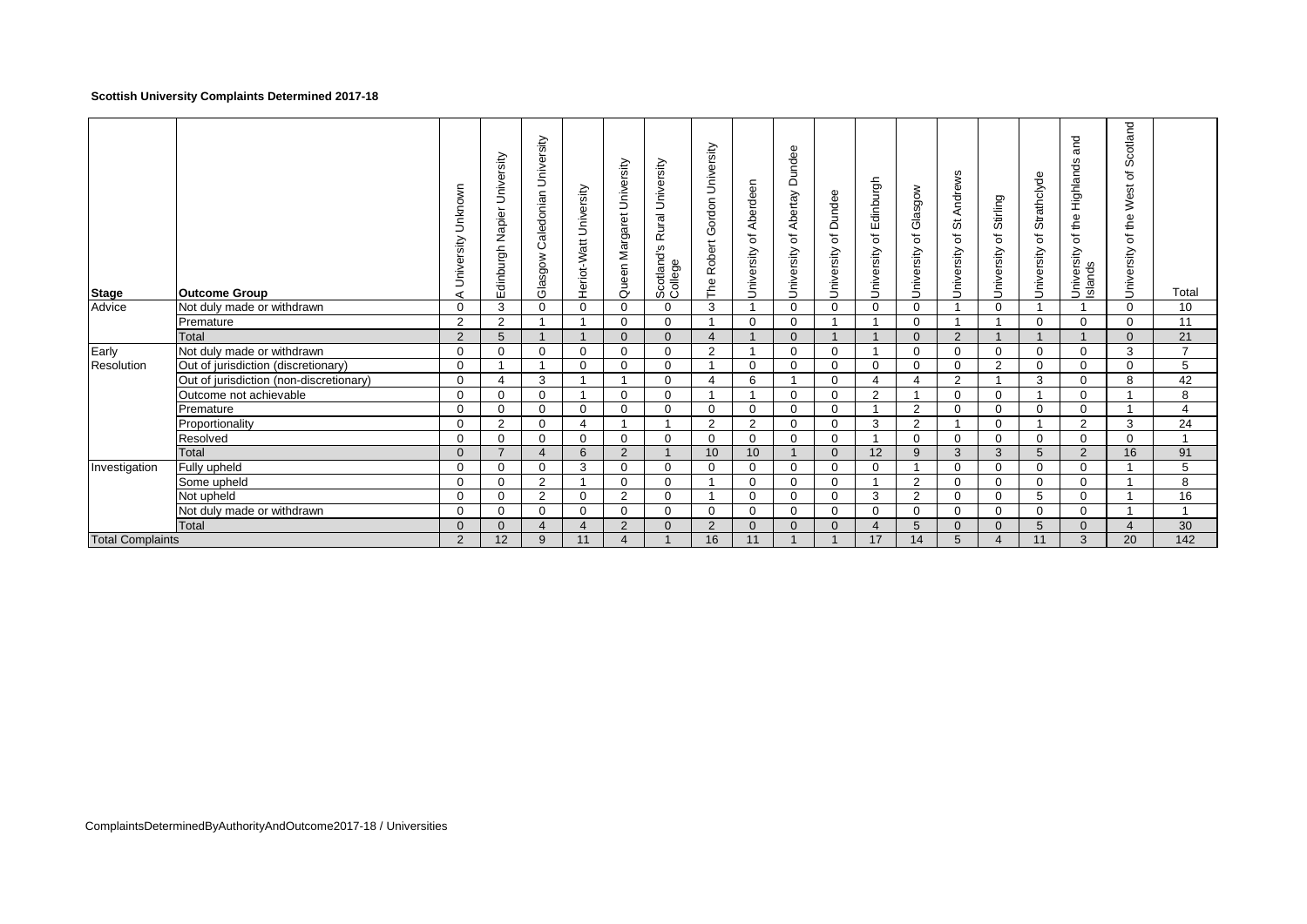### **Scottish University Complaints Determined 2017-18**

| <b>Stage</b>            | <b>Outcome Group</b>                    | Unknown<br>University<br>⋖ | University<br>Napier<br>Edinburgh | Caledonian University<br>Glasgow | University<br>Heriot-Watt | Queen Margaret University | Rural University<br>Scotland's I<br>College | University<br>Gordon<br>The Robert | Aberdeen<br>$\overline{\sigma}$<br>University | Dundee<br>Abertay<br>$\rm \breve{\sigma}$<br>University | Dundee<br>$\overline{\sigma}$<br>University | Edinburgh<br>$\overline{\sigma}$<br>University | Glasgow<br>৳<br>University | Andrews<br>$\breve{\mathrm{o}}$<br>৳<br>University | of Stirling<br>University | Strathclyde<br>ъ<br>University | and<br>Highlands<br>the<br>$\overline{\sigma}$<br>University<br>Islands | Scotland<br>৳<br>West<br>the<br>৳<br>University | Total          |
|-------------------------|-----------------------------------------|----------------------------|-----------------------------------|----------------------------------|---------------------------|---------------------------|---------------------------------------------|------------------------------------|-----------------------------------------------|---------------------------------------------------------|---------------------------------------------|------------------------------------------------|----------------------------|----------------------------------------------------|---------------------------|--------------------------------|-------------------------------------------------------------------------|-------------------------------------------------|----------------|
| Advice                  | Not duly made or withdrawn              | $\mathbf 0$                | 3                                 | 0                                | 0                         | $\mathbf 0$               | $\mathbf 0$                                 | 3                                  |                                               | $\mathbf 0$                                             | $\Omega$                                    | $\mathbf 0$                                    | 0                          |                                                    | $\mathbf 0$               |                                |                                                                         | $\Omega$                                        | 10             |
|                         | Premature                               | $\overline{2}$             | 2                                 | $\overline{ }$                   | -4                        | $\mathbf 0$               | $\mathbf 0$                                 | $\overline{\mathbf{1}}$            | $\mathbf 0$                                   | 0                                                       |                                             |                                                | $\Omega$                   |                                                    |                           | $\Omega$                       | $\Omega$                                                                | $\Omega$                                        | 11             |
|                         | Total                                   | $\overline{2}$             | 5                                 |                                  |                           | $\Omega$                  | $\mathbf{0}$                                | $\overline{4}$                     |                                               | $\mathbf{0}$                                            |                                             |                                                | $\Omega$                   | 2                                                  |                           |                                |                                                                         | $\Omega$                                        | 21             |
| Early                   | Not duly made or withdrawn              | $\mathbf 0$                | $\mathbf 0$                       | 0                                | 0                         | $\mathbf 0$               | $\mathbf 0$                                 | 2                                  |                                               | 0                                                       | $\Omega$                                    |                                                | 0                          | $\mathbf 0$                                        | $\mathbf 0$               | $\Omega$                       | $\Omega$                                                                | 3                                               | $\overline{7}$ |
| Resolution              | Out of jurisdiction (discretionary)     | 0                          |                                   |                                  | 0                         | $\mathbf 0$               | $\mathbf 0$                                 | -1                                 | 0                                             | 0                                                       | $\Omega$                                    | 0                                              | $\Omega$                   | $\mathbf 0$                                        | 2                         | $\Omega$                       | $\Omega$                                                                | 0                                               | 5              |
|                         | Out of jurisdiction (non-discretionary) | 0                          | 4                                 | 3                                |                           |                           | $\Omega$                                    | 4                                  | 6                                             |                                                         | $\Omega$                                    | $\overline{a}$                                 | 4                          | $\overline{2}$                                     |                           | 3                              | $\Omega$                                                                | 8                                               | 42             |
|                         | Outcome not achievable                  | $\Omega$                   | $\Omega$                          | $\Omega$                         |                           | $\Omega$                  | $\Omega$                                    |                                    |                                               | $\Omega$                                                | $\Omega$                                    | 2                                              |                            | $\Omega$                                           | $\mathbf 0$               |                                | $\Omega$                                                                |                                                 | 8              |
|                         | Premature                               | $\Omega$                   | $\Omega$                          | $\Omega$                         | 0                         | $\Omega$                  | $\Omega$                                    | $\Omega$                           | $\mathbf 0$                                   | $\Omega$                                                | $\Omega$                                    |                                                | 2                          | $\Omega$                                           | $\mathbf 0$               | $\Omega$                       | $\Omega$                                                                |                                                 | $\overline{4}$ |
|                         | Proportionality                         | $\Omega$                   | $\overline{2}$                    | $\Omega$                         | 4                         |                           |                                             | 2                                  | 2                                             | $\Omega$                                                | $\Omega$                                    | 3                                              | $\overline{2}$             |                                                    | $\mathbf 0$               |                                | $\overline{2}$                                                          | 3                                               | 24             |
|                         | Resolved                                | $\Omega$                   | $\Omega$                          | $\Omega$                         | 0                         | $\Omega$                  | $\Omega$                                    | $\Omega$                           | $\Omega$                                      | $\Omega$                                                | $\Omega$                                    |                                                | $\Omega$                   | $\Omega$                                           | $\Omega$                  | $\Omega$                       | $\Omega$                                                                | $\Omega$                                        | $\overline{ }$ |
|                         | Total                                   | $\Omega$                   |                                   | $\overline{4}$                   | 6                         | $\overline{2}$            |                                             | 10                                 | 10                                            |                                                         | $\Omega$                                    | 12                                             | 9                          | 3                                                  | 3                         | 5                              | 2                                                                       | 16                                              | 91             |
| Investigation           | Fully upheld                            | $\Omega$                   | $\Omega$                          | $\mathbf 0$                      | 3                         | $\Omega$                  | $\Omega$                                    | $\Omega$                           | $\mathbf 0$                                   | $\Omega$                                                | $\Omega$                                    | $\Omega$                                       |                            | $\Omega$                                           | $\Omega$                  | $\Omega$                       | $\Omega$                                                                |                                                 | 5              |
|                         | Some upheld                             | $\Omega$                   | $\Omega$                          | 2                                |                           | $\Omega$                  | $\Omega$                                    |                                    | 0                                             | $\Omega$                                                | $\Omega$                                    |                                                | $\overline{2}$             | $\Omega$                                           | $\mathbf 0$               | $\Omega$                       | $\Omega$                                                                |                                                 | 8              |
|                         | Not upheld                              | $\Omega$                   | $\Omega$                          | 2                                | $\Omega$                  | $\overline{2}$            | $\Omega$                                    | $\overline{\mathbf{A}}$            | $\mathbf 0$                                   | $\Omega$                                                | $\Omega$                                    | 3                                              | $\overline{2}$             | $\Omega$                                           | $\Omega$                  | 5                              | $\Omega$                                                                |                                                 | 16             |
|                         | Not duly made or withdrawn              | $\Omega$                   | $\Omega$                          | 0                                | 0                         | $\Omega$                  | $\Omega$                                    | $\Omega$                           | 0                                             | $\Omega$                                                | $\Omega$                                    | $\mathbf 0$                                    | $\Omega$                   | $\Omega$                                           | $\mathbf 0$               | $\Omega$                       | $\Omega$                                                                |                                                 | $\overline{ }$ |
|                         | <b>Total</b>                            | $\Omega$                   | $\Omega$                          | $\overline{4}$                   | $\overline{4}$            | $\overline{2}$            | $\Omega$                                    | 2                                  | $\Omega$                                      | $\Omega$                                                | $\Omega$                                    | $\overline{4}$                                 | 5                          | $\Omega$                                           | $\Omega$                  | 5                              | $\Omega$                                                                |                                                 | 30             |
| <b>Total Complaints</b> |                                         | $\overline{2}$             | 12                                | 9                                | 11                        | $\boldsymbol{\Delta}$     |                                             | 16                                 | 11                                            |                                                         |                                             | 17                                             | 14                         | 5                                                  | $\overline{4}$            | 11                             | 3                                                                       | 20                                              | 142            |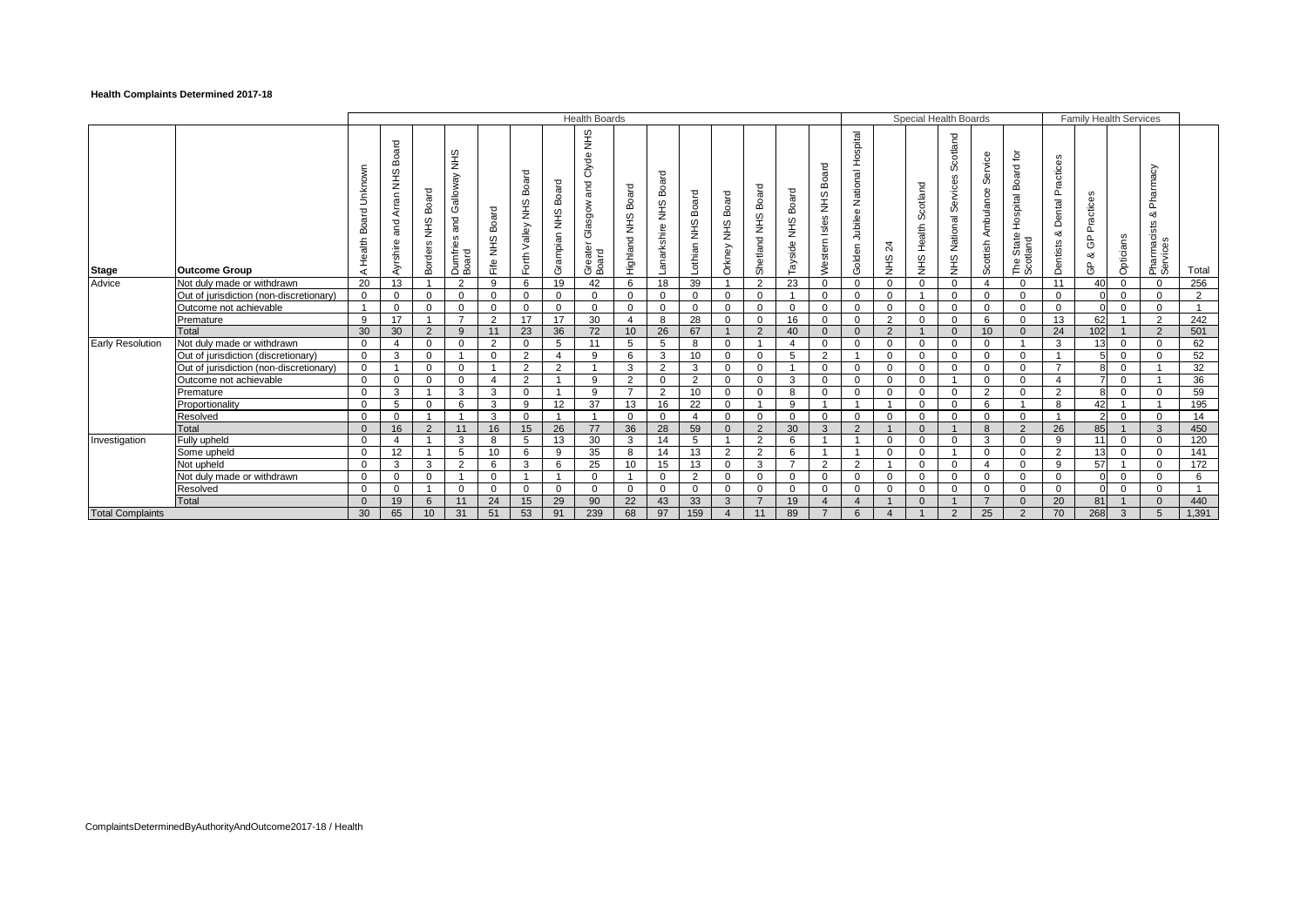### **Health Complaints Determined 2017-18**

|                         |                                         |                                       |                                          |                                       |                                              |                      |                                        |                                  | <b>Health Boards</b>                               |                                  |                             |                         |                                |                             |                                |                                  |                                                                      |                             | Special Health Boards            |                                         |                                  |                                                      |                                      | <b>Family Health Services</b> |                |                                                          |              |
|-------------------------|-----------------------------------------|---------------------------------------|------------------------------------------|---------------------------------------|----------------------------------------------|----------------------|----------------------------------------|----------------------------------|----------------------------------------------------|----------------------------------|-----------------------------|-------------------------|--------------------------------|-----------------------------|--------------------------------|----------------------------------|----------------------------------------------------------------------|-----------------------------|----------------------------------|-----------------------------------------|----------------------------------|------------------------------------------------------|--------------------------------------|-------------------------------|----------------|----------------------------------------------------------|--------------|
| <b>Stage</b>            | <b>Outcome Group</b>                    | Unknown<br>Board<br>Health<br>$\prec$ | Board<br>SHR<br>Arran<br>and<br>Ayrshire | Board<br><b>SHR</b><br><b>Borders</b> | SHIN<br>Galloway<br>and<br>Dumfries<br>Board | Board<br>9⊬w<br>Fife | Board<br><b>SHN</b><br>Valley<br>Forth | Board<br><b>SHIN</b><br>Grampian | SHR<br>Clyde<br>and<br>Glasgow<br>Greater<br>Board | Board<br>$rac{9}{2}$<br>Highland | Board<br>SHIN<br>anarkshire | Board<br>SHR<br>Lothian | Board<br>$rac{9}{2}$<br>Orkney | Board<br>오<br>보<br>Shetland | Board<br><b>SHN</b><br>Tayside | Board<br>SHR<br>Isles<br>Western | Hospital<br>nal<br><b>Natio</b><br>$\alpha$<br>Jubilee<br>olden<br>Ŏ | $\frac{5}{4}$<br><b>SHR</b> | Scotland<br>Health<br><b>SHR</b> | Scotland<br>Services<br>National<br>SHR | Service<br>Ambulance<br>Scottish | Hospital Board for<br>State<br>The State<br>Scotland | Practices<br>Dental<br>ಯ<br>Dentists | Practices<br>ලි<br>య<br>සි    | Opticians      | ਨ<br>Pharmad<br>య<br>$\omega$<br>Pharmacists<br>Services | Total        |
| Advice                  | Not duly made or withdrawn              | 20                                    | 13                                       |                                       | $\overline{2}$                               | 9                    | 6                                      | 19                               | 42                                                 | 6                                | 18                          | 39                      |                                | $\overline{2}$              | 23                             | $\mathbf 0$                      | $\mathbf 0$                                                          | $\mathbf 0$                 | $\mathbf 0$                      | $\mathbf{0}$                            | $\overline{4}$                   | $\mathbf 0$                                          | 11                                   | 40                            | $\mathbf 0$    | $\Omega$                                                 | 256          |
|                         | Out of jurisdiction (non-discretionary) | $\overline{0}$                        | $\mathbf 0$                              | $\Omega$                              | $\mathbf 0$                                  | $\Omega$             | $\overline{0}$                         | $\Omega$                         | $\Omega$                                           | $\Omega$                         | $\overline{0}$              | $\Omega$                | $\mathbf 0$                    | $\Omega$                    |                                | $\Omega$                         | $\Omega$                                                             | $\mathbf{0}$                |                                  | $\mathbf 0$                             | $\mathbf 0$                      | $\mathbf 0$                                          | $\Omega$                             |                               | $\mathbf 0$    | $\Omega$                                                 | 2            |
|                         | Outcome not achievable                  | $\overline{\mathbf{1}}$               | $\mathbf 0$                              | $\Omega$                              | $\Omega$                                     | $\Omega$             | $\mathbf{0}$                           | $\Omega$                         | $\Omega$                                           | $\Omega$                         | $\mathbf{0}$                | $\Omega$                | $\Omega$                       | $\Omega$                    | $\Omega$                       | $\Omega$                         | $\Omega$                                                             | $\Omega$                    | $\mathbf 0$                      | $\mathbf{0}$                            | $\mathbf 0$                      | $\Omega$                                             | $\Omega$                             | U                             | $\Omega$       | $\Omega$                                                 | $\mathbf{1}$ |
|                         | Premature                               | 9                                     | 17                                       |                                       |                                              | 2                    | 17                                     | 17                               | 30                                                 |                                  | 8                           | 28                      | $\Omega$                       | $\Omega$                    | 16                             | $\Omega$                         | $\Omega$                                                             | 2                           | $\Omega$                         | 0                                       | 6                                | $\Omega$                                             | 13                                   | 62                            |                | $\overline{2}$                                           | 242          |
|                         | Total                                   | 30                                    | 30                                       | 2                                     | 9                                            | 11                   | 23                                     | 36                               | 72                                                 | 10 <sup>1</sup>                  | 26                          | 67                      |                                | 2                           | 40                             | $\Omega$                         | $\Omega$                                                             | 2                           |                                  | $\Omega$                                | 10                               | $\Omega$                                             | 24                                   | 102                           |                | $\overline{2}$                                           | 501          |
| <b>Early Resolution</b> | Not duly made or withdrawn              | $\mathbf 0$                           |                                          | $\Omega$                              | $\Omega$                                     | 2                    | $\mathbf{0}$                           | 5                                | 11                                                 | 5                                | 5                           | 8                       | $\Omega$                       | -1                          | $\overline{4}$                 | $\Omega$                         | $\Omega$                                                             | $\Omega$                    | $\Omega$                         | $\mathbf{0}$                            | $\Omega$                         |                                                      | 3                                    | 13                            | $\mathbf 0$    | $\Omega$                                                 | 62           |
|                         | Out of jurisdiction (discretionary)     | $\overline{0}$                        | 3                                        | $\mathbf 0$                           |                                              | $\Omega$             | 2                                      |                                  | 9                                                  | 6                                | 3                           | 10                      | $\mathbf 0$                    | $\Omega$                    | 5                              | $\overline{2}$                   |                                                                      | $\Omega$                    | $\mathbf 0$                      | $\mathbf{0}$                            | $\mathbf 0$                      | $\Omega$                                             | $\overline{1}$                       |                               | $\mathbf 0$    | $\Omega$                                                 | 52           |
|                         | Out of jurisdiction (non-discretionary) | $\overline{0}$                        | $\overline{1}$                           | $\mathbf 0$                           | $\Omega$                                     |                      | $\overline{2}$                         | $\overline{2}$                   |                                                    | 3                                | $\overline{2}$              | 3                       | $\mathbf 0$                    | $\mathbf 0$                 | - 1                            | $\Omega$                         | $\Omega$                                                             | $\mathbf 0$                 | $\mathbf 0$                      | $\mathbf 0$                             | $\mathbf 0$                      | $\Omega$                                             | $\overline{7}$                       | R                             | $\mathbf 0$    |                                                          | 32           |
|                         | Outcome not achievable                  | $\overline{0}$                        | $\mathbf 0$                              | $\Omega$                              | $\mathbf 0$                                  | $\Delta$             | 2                                      |                                  | - 9                                                | 2                                | $\overline{0}$              | $\overline{2}$          | $\Omega$                       | $\Omega$                    | 3                              | $\Omega$                         | $\Omega$                                                             | $\Omega$                    | $\mathbf{0}$                     |                                         | $\mathbf{0}$                     | $\Omega$                                             | 4                                    |                               | $\mathbf 0$    |                                                          | 36           |
|                         | Premature                               | $\mathbf 0$                           | 3                                        |                                       | 3                                            | 3                    | $\mathbf{0}$                           |                                  | 9                                                  | $\overline{7}$                   | $\overline{2}$              | 10 <sup>°</sup>         | $\Omega$                       | $\Omega$                    | 8                              | $\Omega$                         | $\Omega$                                                             | $\Omega$                    | $\mathbf{0}$                     | $\mathbf 0$                             | $\overline{2}$                   | $\Omega$                                             | $\overline{2}$                       | 8                             | $\Omega$       | $\Omega$                                                 | 59           |
|                         | Proportionality                         | $\mathbf{0}$                          | 5                                        | $\Omega$                              | 6                                            | 3                    | 9                                      | 12 <sup>2</sup>                  | 37                                                 | 13                               | 16                          | 22                      | $\mathbf 0$                    | $\overline{1}$              | 9                              |                                  | $\overline{\phantom{a}}$                                             |                             | $\Omega$                         | $\mathbf{0}$                            | 6                                |                                                      | 8                                    | 42                            | $\overline{1}$ |                                                          | 195          |
|                         | Resolved                                | $\Omega$                              | $\Omega$                                 |                                       |                                              | 3                    | $\Omega$                               |                                  |                                                    | $\Omega$                         | $\Omega$                    | 4                       | $\Omega$                       | $\Omega$                    | $\Omega$                       | $\Omega$                         | $\Omega$                                                             | $\Omega$                    | $\Omega$                         | $\Omega$                                | $\Omega$                         | $\Omega$                                             |                                      | 2                             | $\Omega$       | $\Omega$                                                 | 14           |
|                         | Total                                   | $\mathbf{0}$                          | 16                                       | $\overline{2}$                        | 11                                           | 16                   | 15                                     | 26                               | 77                                                 | 36                               | 28                          | 59                      | $\mathbf{0}$                   | 2                           | 30                             | 3                                | $\mathcal{P}$                                                        |                             | $\mathbf{0}$                     |                                         | 8                                | $\overline{2}$                                       | 26                                   | 85                            |                | 3                                                        | 450          |
| Investigation           | Fully upheld                            | $\overline{0}$                        |                                          |                                       | 3                                            | 8                    | 5                                      | 13                               | 30                                                 | 3                                | 14                          | 5                       |                                | $\overline{2}$              | 6                              |                                  |                                                                      | $\Omega$                    | $\mathbf 0$                      | $\mathbf{0}$                            | 3                                | $\Omega$                                             | 9                                    |                               | $\mathbf 0$    | $\Omega$                                                 | 120          |
|                         | Some upheld                             | $\mathbf 0$                           | 12                                       |                                       | 5                                            | 10 <sup>°</sup>      | 6                                      | 9                                | 35                                                 | 8                                | 14                          | 13                      | 2                              | $\overline{2}$              | 6                              |                                  |                                                                      | $\Omega$                    | $\mathbf{0}$                     |                                         | $\mathbf 0$                      | $\Omega$                                             | 2                                    | 13                            | $\mathbf 0$    | $\Omega$                                                 | 141          |
|                         | Not upheld                              | $\overline{0}$                        | 3                                        | 3                                     | $\overline{2}$                               | 6                    | 3                                      | 6                                | 25                                                 | 10                               | 15                          | 13                      | $\mathbf 0$                    | 3                           | $\overline{7}$                 | $\overline{2}$                   | 2                                                                    |                             | $\Omega$                         | $\mathbf 0$                             | $\overline{4}$                   | $\Omega$                                             | 9                                    | 57                            |                | $\Omega$                                                 | 172          |
|                         | Not duly made or withdrawn              | $\mathbf 0$                           | $\mathbf 0$                              | $\mathbf 0$                           |                                              | $\Omega$             |                                        |                                  | $\Omega$                                           |                                  | $\mathbf{0}$                | $\overline{2}$          | $\mathbf 0$                    | $\Omega$                    | $\mathbf{0}$                   | $\Omega$                         | $\Omega$                                                             | $\mathbf 0$                 | $\mathbf 0$                      | $\mathbf{0}$                            | $\mathbf 0$                      | $\mathbf 0$                                          | $\mathbf 0$                          | U                             | $\mathbf 0$    | $\Omega$                                                 | 6            |
|                         | Resolved                                | $\mathbf 0$                           | 0                                        |                                       | $\Omega$                                     | $\Omega$             | $\mathbf{0}$                           | $\Omega$                         | $\Omega$                                           | $\Omega$                         | $\mathbf{0}$                | $\Omega$                | $\mathbf 0$                    | $\Omega$                    | $\Omega$                       | $\Omega$                         | $\Omega$                                                             | $\Omega$                    | $\mathbf{0}$                     | 0                                       | $\mathbf{0}$                     | $\Omega$                                             | $\mathbf 0$                          |                               | $\mathbf 0$    | $\Omega$                                                 | $\mathbf{1}$ |
|                         | Total                                   | $\overline{0}$                        | 19                                       | 6                                     | 11                                           | 24                   | 15                                     | 29                               | 90                                                 | 22                               | 43                          | 33                      | $\mathbf{3}$                   | $\overline{7}$              | 19                             |                                  |                                                                      |                             | $\Omega$                         |                                         | $\overline{7}$                   | $\Omega$                                             | 20                                   | 81                            |                | $\cap$                                                   | 440          |
| <b>Total Complaints</b> |                                         | 30                                    | 65                                       | 10                                    | 31                                           | 51                   | 53                                     | 91                               | 239                                                | 68                               | 97                          | 159                     | $\overline{4}$                 | 11                          | 89                             |                                  | 6                                                                    |                             |                                  | $\overline{2}$                          | 25                               |                                                      | 70                                   | 268                           | 3              | 5                                                        | 1,391        |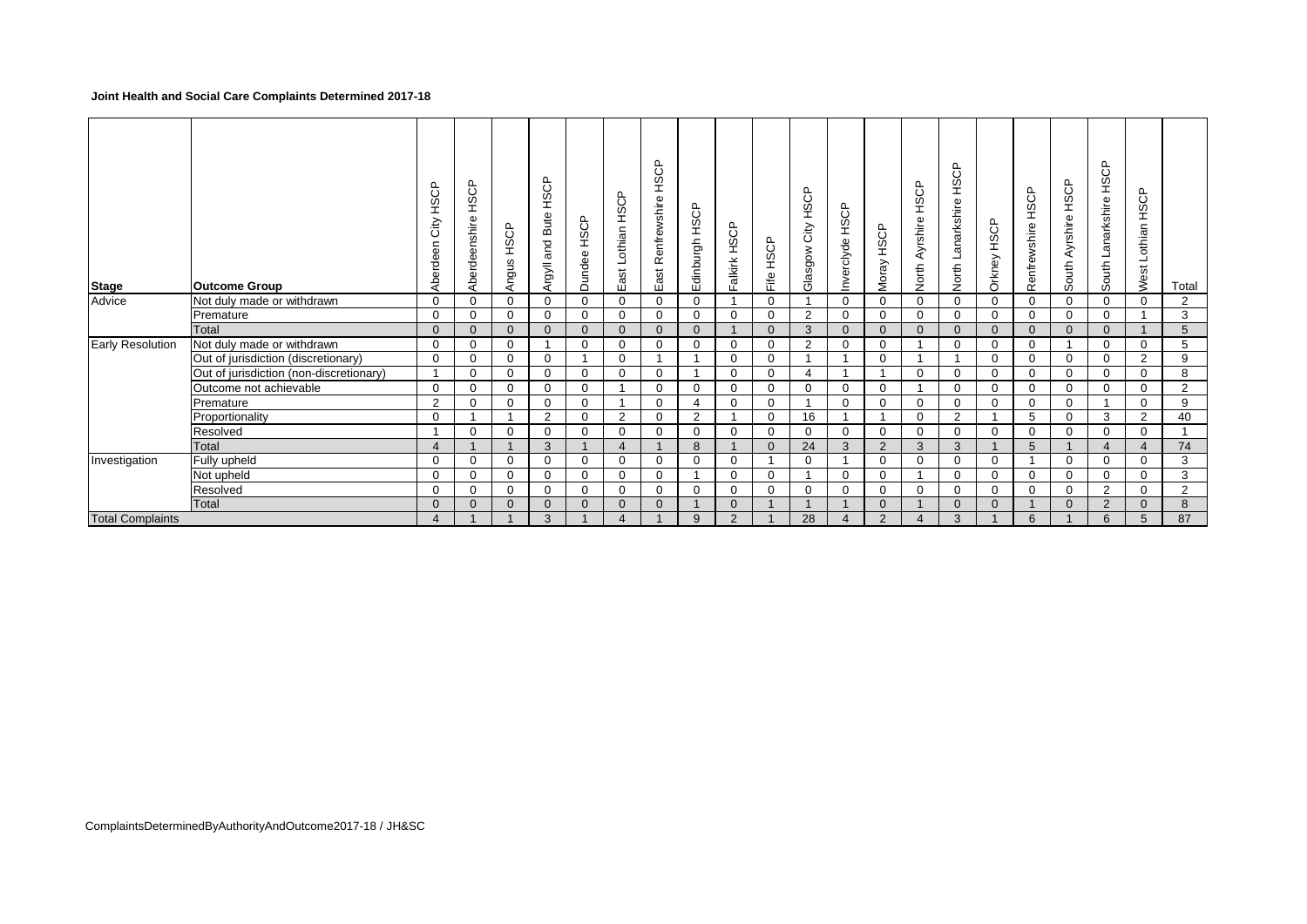### **Joint Health and Social Care Complaints Determined 2017-18**

| <b>Stage</b>            | <b>Outcome Group</b>                    | HSCP<br>City<br>Aberdeen | HSCP<br>Aberdeenshire | HSCP<br>Angus | HSCP<br>Bute<br>and<br>Argyll | Dundee HSCP    | HSCP<br>Lothian<br>ä<br>ш | Renfrewshire HSCP<br>ast<br>ш | ௨<br><b>COLL</b><br>dinburgh<br>ш | alkirk HSCP<br>╙ | HSCP<br>Fife | HSCP<br>City<br>Glasgow | HSCP<br>Inverclyde | HSCP<br>Moray  | HSCP<br>Ayrshire<br>North | <b>HSCP</b><br>Lanarkshire<br>North | HSCP<br>Orkney | HSCP<br>Renfrewshire | HSCP<br>Ayrshire<br>South | Lanarkshire HSCP<br>South | HSCP<br>Lothian<br>West | Total          |
|-------------------------|-----------------------------------------|--------------------------|-----------------------|---------------|-------------------------------|----------------|---------------------------|-------------------------------|-----------------------------------|------------------|--------------|-------------------------|--------------------|----------------|---------------------------|-------------------------------------|----------------|----------------------|---------------------------|---------------------------|-------------------------|----------------|
| Advice                  | Not duly made or withdrawn              | $\Omega$                 |                       | $\Omega$      | $\Omega$                      | $\Omega$       | $\Omega$                  | $\Omega$                      | $\mathbf{0}$                      | $\overline{ }$   | $\Omega$     |                         | $\Omega$           | $\Omega$       | $\Omega$                  | $\mathbf 0$                         | $\mathbf 0$    | $\Omega$             | 0                         | 0                         | $\Omega$                | 2              |
|                         | Premature                               | $\mathbf 0$              | 0                     | $\mathbf 0$   | 0                             | $\mathbf 0$    | $\mathbf 0$               | $\mathbf 0$                   | $\mathbf 0$                       | $\mathbf 0$      | $\Omega$     | 2                       | 0                  | 0              | 0                         | $\mathbf{0}$                        | 0              | $\mathbf 0$          | 0                         | 0                         |                         | 3              |
|                         | <b>Total</b>                            | $\Omega$                 | $\Omega$              | $\Omega$      | $\Omega$                      | $\Omega$       | $\Omega$                  | $\Omega$                      | $\Omega$                          |                  | $\Omega$     | 3                       | $\Omega$           | $\Omega$       | $\Omega$                  | $\overline{0}$                      | $\Omega$       | $\Omega$             | $\Omega$                  | $\Omega$                  |                         | 5              |
| Early Resolution        | Not duly made or withdrawn              | 0                        | 0                     | $\mathbf 0$   |                               | $\mathbf 0$    | $\mathbf 0$               | $\mathbf 0$                   | $\mathbf 0$                       | $\mathbf 0$      | $\Omega$     | $\overline{2}$          | $\Omega$           | $\mathbf 0$    |                           | $\mathbf 0$                         | 0              | $\mathbf 0$          |                           | 0                         | 0                       | 5              |
|                         | Out of jurisdiction (discretionary)     | $\mathbf 0$              | U                     | $\mathbf 0$   | $\mathbf 0$                   |                | $\Omega$                  |                               |                                   | $\mathbf 0$      | $\Omega$     |                         |                    | $\Omega$       |                           | 1                                   | 0              | $\Omega$             | $\Omega$                  | 0                         | 2                       | 9              |
|                         | Out of jurisdiction (non-discretionary) | $\overline{1}$           | $\Omega$              | 0             | $\mathbf 0$                   | $\mathbf 0$    | $\overline{0}$            | $\mathbf 0$                   |                                   | $\mathbf 0$      | 0            | $\overline{4}$          |                    |                | 0                         | $\mathbf 0$                         | 0              | 0                    | 0                         | 0                         | 0                       | 8              |
|                         | Outcome not achievable                  | $\Omega$                 | 0                     | $\Omega$      | 0                             | 0              |                           | $\mathbf 0$                   | $\mathbf 0$                       | $\mathbf 0$      | $\Omega$     | $\Omega$                | $\Omega$           | $\Omega$       |                           | $\mathbf{0}$                        | 0              | $\mathbf 0$          | $\Omega$                  | $\Omega$                  | $\Omega$                | $\overline{2}$ |
|                         | Premature                               | $\overline{2}$           | 0                     | $\mathbf 0$   | $\mathbf 0$                   | $\mathbf 0$    |                           | $\mathbf 0$                   | $\overline{4}$                    | $\mathbf 0$      | $\mathbf 0$  |                         | $\Omega$           | $\Omega$       | 0                         | $\mathbf 0$                         | $\mathbf 0$    | 0                    | 0                         |                           | $\mathbf 0$             | 9              |
|                         | Proportionality                         | 0                        |                       |               | 2                             | $\mathbf 0$    | $\overline{2}$            | $\mathbf 0$                   | 2                                 | $\overline{A}$   | $\Omega$     | 16                      |                    |                | 0                         | $\overline{2}$                      | 1              | 5                    | $\Omega$                  | 3                         | 2                       | 40             |
|                         | Resolved                                |                          |                       | 0             | $\Omega$                      | $\mathbf 0$    | $\mathbf 0$               | $\mathbf 0$                   | 0                                 | $\mathbf 0$      | $\Omega$     | 0                       | $\Omega$           | 0              | 0                         | $\mathbf{0}$                        | 0              | 0                    | 0                         | 0                         | 0                       |                |
|                         | Total                                   | $\overline{4}$           |                       |               | $\mathbf{3}$                  |                | $\boldsymbol{\Delta}$     |                               | 8                                 |                  | $\Omega$     | 24                      | 3                  | $\overline{2}$ | 3                         | 3                                   |                | 5                    |                           | 4                         | $\overline{4}$          | 74             |
| Investigation           | Fully upheld                            | $\mathbf 0$              | 0                     | $\mathbf 0$   | $\mathbf 0$                   | $\mathbf 0$    | $\Omega$                  | $\mathbf 0$                   | $\mathbf{0}$                      | $\mathbf 0$      |              | $\Omega$                |                    | $\Omega$       | 0                         | $\mathbf 0$                         | $\mathbf 0$    |                      | $\Omega$                  | 0                         | 0                       | 3              |
|                         | Not upheld                              | 0                        |                       | $\mathbf 0$   | 0                             | $\mathbf 0$    | $\mathbf 0$               | $\mathbf 0$                   |                                   | $\mathbf 0$      | $\Omega$     |                         | $\Omega$           | $\Omega$       |                           | 0                                   | 0              | 0                    | 0                         | 0                         | 0                       | 3              |
|                         | Resolved                                | 0                        |                       | 0             | $\mathbf 0$                   | 0              | $\mathbf 0$               | $\mathbf 0$                   | 0                                 | $\mathbf 0$      | 0            | 0                       | $\mathbf 0$        | 0              | 0                         | 0                                   | 0              | 0                    | 0                         | $\overline{2}$            | 0                       | $\overline{2}$ |
|                         | Total                                   | $\Omega$                 | $\Omega$              | $\mathbf{0}$  | $\overline{0}$                | $\overline{0}$ | $\mathbf{0}$              | $\mathbf{0}$                  |                                   | $\Omega$         |              | $\overline{1}$          |                    | $\Omega$       |                           | $\mathbf{0}$                        | $\Omega$       |                      | $\Omega$                  | 2                         | $\Omega$                | 8              |
| <b>Total Complaints</b> |                                         | $\overline{4}$           |                       |               | 3                             |                | $\overline{4}$            |                               | 9                                 | 2                |              | 28                      | $\overline{4}$     | 2              | $\overline{4}$            | 3                                   |                | 6                    |                           | 6                         | 5                       | 87             |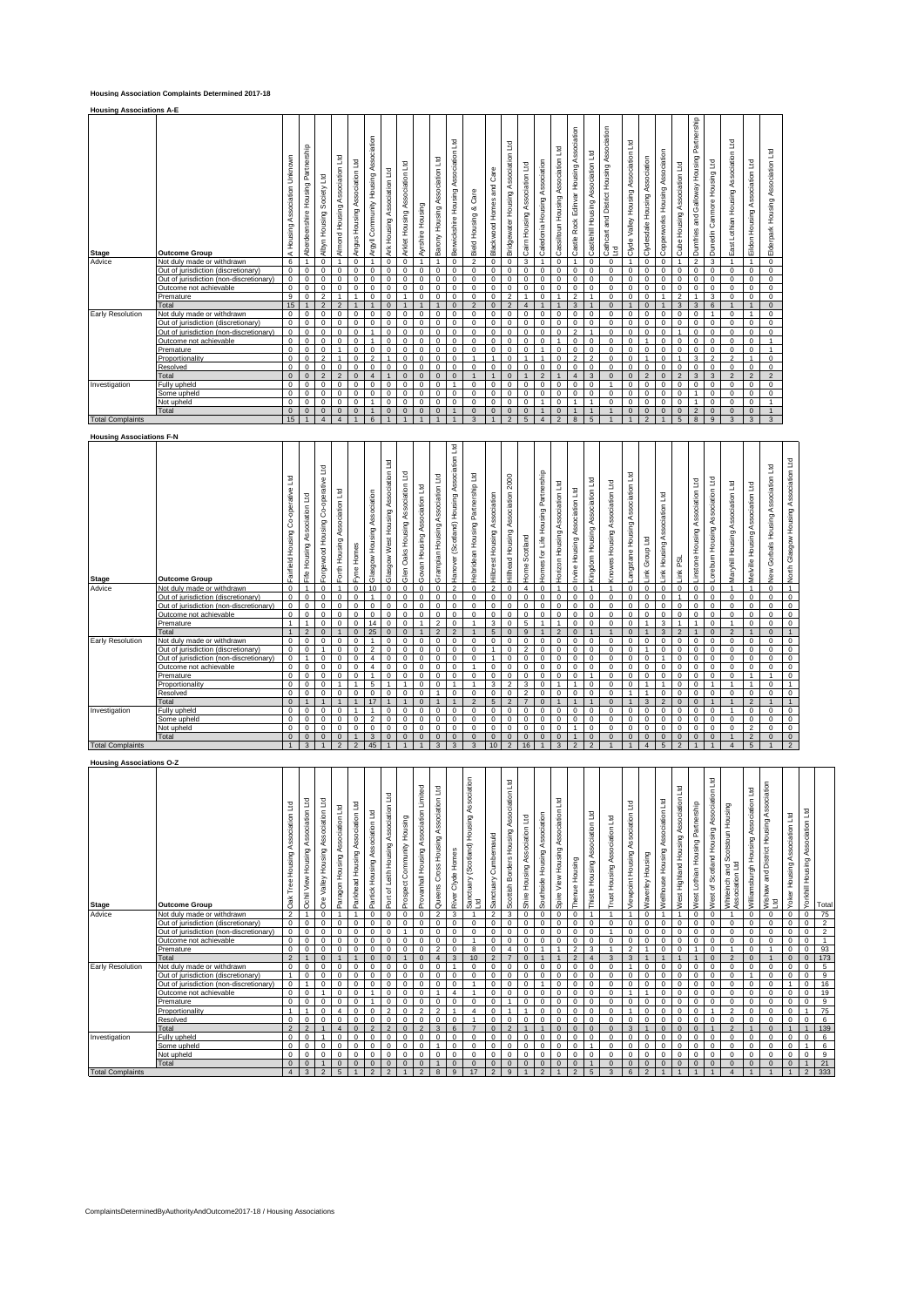### **Housing Association Complaints Determined 2017-18**

| <b>Housing Associations A-E</b> |                                         |                                  |                                      |                              |                                |                                  |                                            |                                |                                |                  |                                   |                                          |                               |                             |                                        |                               |                               |                                    |                                                  |                                       |                                                |                                         |                                |                                 |                                 |                                                       |                                |                                         |                                    |                                   |
|---------------------------------|-----------------------------------------|----------------------------------|--------------------------------------|------------------------------|--------------------------------|----------------------------------|--------------------------------------------|--------------------------------|--------------------------------|------------------|-----------------------------------|------------------------------------------|-------------------------------|-----------------------------|----------------------------------------|-------------------------------|-------------------------------|------------------------------------|--------------------------------------------------|---------------------------------------|------------------------------------------------|-----------------------------------------|--------------------------------|---------------------------------|---------------------------------|-------------------------------------------------------|--------------------------------|-----------------------------------------|------------------------------------|-----------------------------------|
| <b>Stage</b>                    | <b>Outcome Group</b>                    | Association Unknown<br>A Housing | Partnership<br>Aberdeenshire Housing | Society Ltd<br>Albyn Housing | Almond Housing Association Ltd | Association Ltd<br>Angus Housing | Association<br>Community Housing<br>Argyll | Association Ltd<br>Ark Housing | Arklet Housing Association Ltd | Ayrshire Housing | Association Ltd<br>Barony Housing | 꿬<br>Association<br>Berwickshire Housing | Care<br>ಜ<br>Housing<br>Bield | and Care<br>Blackwood Homes | Association Ltd<br>Bridgewater Housing | Cairn Housing Association Ltd | Caledonia Housing Association | Cassiltoun Housing Association Ltd | Association<br>Edinvar Housing<br>Rock<br>Castle | Association Ltd<br>Castlehill Housing | Cathcart and District Housing Association<br>꾁 | Valley Housing Association Ltd<br>Clyde | Clydesdale Housing Association | Copperworks Housing Association | Association Ltd<br>Cube Housing | Partnership<br>Housing<br>Galloway<br>gue<br>Dumfries | Canmore Housing Ltd<br>Dunedin | Association Ltd<br>East Lothian Housing | Ξ<br>Association<br>Eildon Housing | Elderpark Housing Association Ltd |
| Advice                          | Not duly made or withdrawn              | 6                                | $\overline{1}$                       | $\Omega$                     | $\overline{ }$                 | $\mathbf 0$                      | $\overline{4}$                             | $\mathbf 0$                    | $\mathbf 0$                    |                  |                                   | $\Omega$                                 | $\mathcal{L}$                 | 0                           | $\mathbf 0$                            | 3                             | $\overline{A}$                | $\mathbf 0$                        | $\overline{ }$                                   | $\mathbf 0$                           | $\Omega$                                       |                                         | $\mathbf 0$                    | $\Omega$                        | A.                              | $\overline{2}$                                        | 3                              |                                         | $\overline{1}$                     | $\mathbf 0$                       |
|                                 | Out of jurisdiction (discretionary)     | $\mathbf 0$                      | $\Omega$                             | $\Omega$                     | $\mathbf 0$                    | $\mathbf 0$                      | $\mathbf 0$                                | $\Omega$                       | $\mathbf 0$                    | $\mathbf 0$      | $\mathbf 0$                       | $\Omega$                                 | $\Omega$                      | 0                           | $\Omega$                               | $\mathbf 0$                   | $\mathbf 0$                   | $\mathbf 0$                        | $\Omega$                                         | $\mathbf 0$                           | $\Omega$                                       | $\Omega$                                | $\mathbf 0$                    | $\Omega$                        | $\mathbf 0$                     | $\Omega$                                              | $\Omega$                       | $\Omega$                                | $\Omega$                           | $\mathbf 0$                       |
|                                 | Out of jurisdiction (non-discretionary) | $\Omega$                         | $\Omega$                             | $\Omega$                     | $\Omega$                       | $\Omega$                         | $\Omega$                                   | $\Omega$                       | $\Omega$                       | $\Omega$         | $\Omega$                          | $\Omega$                                 | $\Omega$                      | $\Omega$                    | $\Omega$                               | $\Omega$                      | $\Omega$                      | $\Omega$                           | $\Omega$                                         | $\Omega$                              | $\Omega$                                       | $\Omega$                                | $\Omega$                       | $\Omega$                        | $\Omega$                        | $\Omega$                                              | $\Omega$                       | $\Omega$                                | $\Omega$                           | $\Omega$                          |
|                                 | Outcome not achievable                  | $\Omega$                         | $\Omega$                             | $\Omega$                     | $\Omega$                       | $\Omega$                         | $\Omega$                                   | $\Omega$                       | $\Omega$                       | $\Omega$         | $\Omega$                          | $\Omega$                                 | $\Omega$                      | $\Omega$                    | $\Omega$                               | $\Omega$                      | $\Omega$                      | $\Omega$                           | $\Omega$                                         | $\Omega$                              | $\Omega$                                       | $\Omega$                                | $\Omega$                       | $\Omega$                        | $\Omega$                        | $\Omega$                                              | $\Omega$                       | $\Omega$                                | $\Omega$                           | $\Omega$                          |
|                                 | Premature                               | $\mathbf{q}$                     | $\Omega$                             | $\mathcal{P}$                |                                |                                  | $\Omega$                                   | $\Omega$                       |                                | $\Omega$         | $\Omega$                          | $\Omega$                                 | $\Omega$                      | $\Omega$                    | $\mathfrak{p}$                         |                               | $\Omega$                      |                                    | $\overline{2}$                                   |                                       | $\Omega$                                       | $\Omega$                                | $\Omega$                       |                                 | $\overline{2}$                  |                                                       | 3                              | $\Omega$                                | $\Omega$                           | $\Omega$                          |
|                                 | Total                                   | 15                               |                                      | $\mathcal{P}$                | $\mathcal{P}$                  |                                  |                                            | $\Omega$                       |                                |                  |                                   | $\Omega$                                 | $\Omega$                      | $\Omega$                    | $\mathfrak{p}$                         | 4                             |                               |                                    | 3                                                |                                       | $\Omega$                                       |                                         | $\Omega$                       |                                 | 3                               | 3                                                     | 6                              |                                         | $\overline{1}$                     | $\mathbf{0}$                      |
| Early Resolution                | Not duly made or withdrawn              | $\Omega$                         | $\Omega$                             | $\Omega$                     | $\Omega$                       | $\Omega$                         | $\Omega$                                   | $\Omega$                       | $\Omega$                       | $\Omega$         | $\Omega$                          | $\Omega$                                 | $\Omega$                      | $\Omega$                    | $\Omega$                               | $\Omega$                      | $\Omega$                      | $\Omega$                           | $\Omega$                                         | $\Omega$                              | $\Omega$                                       | $\Omega$                                | $\Omega$                       | $\Omega$                        | $\Omega$                        | $\Omega$                                              | $\overline{1}$                 | $\Omega$                                | $\overline{1}$                     | $\Omega$                          |
|                                 | Out of jurisdiction (discretionary)     | 0                                | $\Omega$                             | $\Omega$                     | $\mathbf 0$                    | $\mathbf 0$                      | $\mathbf 0$                                | $\Omega$                       | $\mathbf 0$                    | $\mathbf 0$      | 0                                 | $\mathbf 0$                              | $\Omega$                      | 0                           | $\Omega$                               | 0                             | $\mathbf 0$                   | $\mathbf 0$                        | $\mathbf 0$                                      | $\mathbf 0$                           | $\Omega$                                       | $\Omega$                                | 0                              | $\mathbf 0$                     | $\mathbf 0$                     | $\Omega$                                              | $\Omega$                       | $\Omega$                                | $\mathbf 0$                        | 0                                 |
|                                 | Out of jurisdiction (non-discretionary) | 0                                | $\mathbf 0$                          | $\Omega$                     | $\mathbf 0$                    | $\mathbf 0$                      |                                            | $\mathbf 0$                    | $\mathbf 0$                    | $\mathbf 0$      | 0                                 | $\mathbf 0$                              | $\Omega$                      | 0                           | $\Omega$                               | 0                             | $\mathbf 0$                   | $\mathbf 0$                        | $\overline{2}$                                   |                                       | $\Omega$                                       | $\mathbf 0$                             | 0                              | $\mathbf 0$                     |                                 | $\mathbf 0$                                           | $\mathbf 0$                    | $\Omega$                                | $\mathbf 0$                        | $\mathbf 0$                       |
|                                 | Outcome not achievable                  | 0                                | $\Omega$                             | $\Omega$                     | $\mathbf 0$                    | $\mathbf 0$                      |                                            | $\mathbf 0$                    | $\mathbf 0$                    | $\mathbf 0$      | 0                                 | $\mathbf 0$                              | $\Omega$                      | 0                           | $\circ$                                | 0                             | $\mathbf 0$                   |                                    | $\mathbf 0$                                      | $\mathbf 0$                           | $\Omega$                                       | $\mathbf 0$                             |                                | 0                               | $\mathbf 0$                     | $\mathbf 0$                                           | $\mathbf 0$                    | $\mathbf 0$                             | $\mathbf 0$                        |                                   |
|                                 | Premature                               | $\Omega$                         | $\Omega$                             | $\Omega$                     |                                | $\Omega$                         | $\mathbf 0$                                | $\mathbf 0$                    | $\circ$                        | $\mathbf 0$      | 0                                 | $\mathbf 0$                              | $\Omega$                      | 0                           | $\Omega$                               | $\Omega$                      |                               | $\mathbf 0$                        | $\mathbf 0$                                      | $\mathbf 0$                           | $\Omega$                                       | $\mathbf 0$                             | 0                              | 0                               | $\mathbf 0$                     | $\Omega$                                              | $\Omega$                       | $\Omega$                                | $\mathbf 0$                        |                                   |
|                                 | Proportionality                         | $\Omega$                         | $\Omega$                             | 2                            |                                | $\Omega$                         | $\overline{2}$                             |                                | $\mathbf 0$                    | $\mathbf 0$      | 0                                 | $\mathbf 0$                              |                               |                             | $\Omega$                               |                               |                               | $\mathbf 0$                        | $\overline{2}$                                   | $\overline{2}$                        | $\Omega$                                       | $\mathbf 0$                             |                                | 0                               |                                 | 3                                                     | $\overline{2}$                 | $\mathfrak{p}$                          | 4                                  | $\mathbf 0$                       |
|                                 | Resolved                                | $\Omega$                         | $\mathbf 0$                          | $\Omega$                     | $^{\circ}$                     | $\mathbf 0$                      | $\mathbf 0$                                | $\mathbf 0$                    | $\mathbf 0$                    | $\mathbf 0$      | 0                                 | $\mathbf 0$                              | $\Omega$                      | 0                           | $\Omega$                               | 0                             | $\mathbf 0$                   | $\mathbf 0$                        | $\mathbf 0$                                      | $\mathbf 0$                           | $\Omega$                                       | $\mathbf 0$                             | 0                              | 0                               | $\mathbf 0$                     | $\mathbf 0$                                           | $^{\circ}$                     | $\Omega$                                | $\mathbf 0$                        | $\mathbf 0$                       |
|                                 | Total                                   | $\mathbf{0}$                     | $\mathbf{0}$                         | $\overline{2}$               | $\overline{2}$                 | $\mathbf{0}$                     | $\overline{4}$                             |                                | $\mathbf{0}$                   | $\mathbf{0}$     | $\mathbf{0}$                      | $\mathbf{0}$                             |                               |                             | $\Omega$                               |                               | $\overline{2}$                |                                    | $\overline{4}$                                   | 3                                     | $\Omega$                                       | $\Omega$                                | $\overline{2}$                 | $\mathbf{0}$                    | $\overline{2}$                  | 3                                                     | 3                              | $\overline{\phantom{a}}$                | $\overline{2}$                     | $\overline{2}$                    |
| Investigation                   | Fully upheld                            | $\Omega$                         | $\Omega$                             | $\Omega$                     | $^{\circ}$                     | $\mathbf 0$                      | 0                                          | $\mathbf 0$                    | $\mathbf 0$                    | $\mathbf 0$      | 0                                 | 1                                        | $\Omega$                      | 0                           | $\Omega$                               | 0                             | $\mathbf 0$                   | $\mathbf 0$                        | $^{\circ}$                                       | $\mathbf 0$                           |                                                | $\Omega$                                | 0                              | 0                               | $\mathbf 0$                     | $\Omega$                                              | $\Omega$                       | $\Omega$                                | $\mathbf 0$                        | $\mathbf 0$                       |
|                                 | Some upheld                             | $\Omega$                         | $\mathbf 0$                          | $\Omega$                     | $^{\circ}$                     | $\mathbf 0$                      | $\mathbf 0$                                | $\mathbf 0$                    | $\mathbf 0$                    | $\mathbf 0$      | 0                                 | $^{\circ}$                               | $\Omega$                      | 0                           | $\Omega$                               | 0                             | $\mathbf 0$                   | $\mathbf 0$                        | $\mathbf 0$                                      | $\mathbf 0$                           | $\Omega$                                       | $\mathbf 0$                             | 0                              | 0                               | $\mathbf 0$                     | 4                                                     | $\Omega$                       | $\Omega$                                | $\mathbf 0$                        | $\mathbf 0$                       |
|                                 | Not upheld                              | $\Omega$                         | $\mathbf 0$                          | $\Omega$                     | $^{\circ}$                     | $\mathbf 0$                      |                                            | $\Omega$                       | $\mathbf 0$                    | $\mathbf 0$      | 0                                 | $^{\circ}$                               | $\Omega$                      | 0                           | $\Omega$                               | 0                             |                               | $\mathbf 0$                        | -1                                               | -1                                    | $\Omega$                                       | $\mathbf 0$                             | 0                              | 0                               | $\mathbf 0$                     |                                                       | $\Omega$                       | $\circ$                                 | $\mathbf 0$                        | $\overline{1}$                    |
|                                 | Total                                   | $\mathbf{0}$                     | $\mathbf{0}$                         | $\Omega$                     | $\mathbf 0$                    | $\mathbf{0}$                     |                                            | $\Omega$                       | $\Omega$                       | $\Omega$         | $\mathbf{0}$                      |                                          |                               | $\mathbf{0}$                | $\Omega$                               | $\Omega$                      |                               | $\mathbf{0}$                       |                                                  |                                       |                                                | $\Omega$                                | $\mathbf{0}$                   | $\mathbf{0}$                    | $\mathbf{0}$                    | $\mathfrak{p}$                                        | $\mathbf 0$                    | $\Omega$                                | $\mathbf{0}$                       |                                   |
| <b>Total Complaints</b>         |                                         | 15                               | $\mathbf{1}$                         | $\Delta$                     | $\overline{4}$                 |                                  | 6                                          |                                |                                |                  |                                   |                                          | $\mathbf{z}$                  |                             | $\mathcal{P}$                          | 5                             | $\Delta$                      | $\mathfrak{p}$                     | $\mathbf{8}$                                     | $5\overline{5}$                       |                                                |                                         | $\mathfrak{D}$                 |                                 | 5                               | 8                                                     | $\mathbf{q}$                   | $\mathbf{R}$                            | 3                                  | $\mathbf{3}$                      |

**Housing Associations F-N**

| <b>Stage</b>            | <b>Outcome Group</b>                    | 꾴<br>operative<br>Ò<br>Ō<br>Housing<br>Fairfield | Ξ<br>Association<br>Housing<br>Fife | operative Ltd<br>රි<br>Housing<br>Forgewood | E<br>Association<br>Forth Housing | Homes<br>Fyne  | Association<br>Housing<br>Glasgow | В<br>Association<br>West Housing<br>Glasgow | Ξ<br>Association<br>Housing<br>Oaks<br>Glen | В<br>Association<br>Housing<br>Govan | Ľd<br>Association<br>Grampian Housing | ਥ<br>Association<br>Housing<br>Scotland)<br>÷<br>Hanover | E<br>Hebridean Housing Partnership | Association<br>Hillcrest Housing | 2000<br>Association<br>Hillhead Housing | cotland<br>ŏ<br>+ome | Partnership<br>Housing F<br>for Life<br><b>Homes</b> | Association Ltd<br>Housing<br><b>Horizon</b> | Ľd<br>Association<br>Housing<br>Invine | Association Ltd<br>Housing<br>Kingdom | Association Ltd<br>Housing<br>knowes | Association Ltd<br>angstane Housing | В<br>Group<br>Ĭm, | Association Ltd<br>Housing<br>首 | g<br>Ě         | Housing Association Ltd<br>instone | Association Ltd<br>oreburn Housing | E<br>Association<br>Vlaryhill Housing | Association Ltd<br>Housing<br>Melville | Ξ<br>Association<br>Gorbals Housing<br>New | North Glasgow Housing Association Ltd |
|-------------------------|-----------------------------------------|--------------------------------------------------|-------------------------------------|---------------------------------------------|-----------------------------------|----------------|-----------------------------------|---------------------------------------------|---------------------------------------------|--------------------------------------|---------------------------------------|----------------------------------------------------------|------------------------------------|----------------------------------|-----------------------------------------|----------------------|------------------------------------------------------|----------------------------------------------|----------------------------------------|---------------------------------------|--------------------------------------|-------------------------------------|-------------------|---------------------------------|----------------|------------------------------------|------------------------------------|---------------------------------------|----------------------------------------|--------------------------------------------|---------------------------------------|
| Advice                  | Not duly made or withdrawn              | $\mathsf 0$                                      | 1                                   | $\mathbf 0$                                 |                                   | $^{\circ}$     | 10                                | $^{\circ}$                                  | $\mathbf 0$                                 | $\mathbf 0$                          | $\bf{0}$                              | $\overline{2}$                                           | $\mathbf 0$                        | $\overline{2}$                   | $\mathbf 0$                             | $\overline{4}$       | $^{\circ}$                                           |                                              | $\mathbf 0$                            | $\overline{1}$                        |                                      | $\mathbf 0$                         | $^{\circ}$        | $\mathsf 0$                     | $\mathbf 0$    | $\mathbf 0$                        | $\mathbf 0$                        |                                       | $\mathbf{1}$                           | $\mathbf 0$                                | $\mathbf{1}$                          |
|                         | Out of jurisdiction (discretionary)     | $\mathbf{0}$                                     | $^{\circ}$                          | $\mathbf 0$                                 | $\mathbf 0$                       | $^{\circ}$     |                                   | $\mathbf 0$                                 | $\mathbf 0$                                 | $^{\circ}$                           | $\mathbf 0$                           | $\mathbf 0$                                              | $^{\circ}$                         | $\mathbf 0$                      | $\mathbf 0$                             | $\Omega$             | $\mathbf 0$                                          | $\mathbf 0$                                  | $\mathbf 0$                            | $\mathbf 0$                           | $^{\circ}$                           | 0                                   | $^{\circ}$        | $\mathbf 0$                     |                | $\mathbf{0}$                       | $\mathbf 0$                        | 0                                     | $\mathbf{0}$                           | 0                                          | $\mathbf{0}$                          |
|                         | Out of jurisdiction (non-discretionary  | $\overline{0}$                                   | $^{\circ}$                          | $\mathbf 0$                                 | $\mathbf 0$                       | $\Omega$       | $\Omega$                          | $\mathbf 0$                                 | $\Omega$                                    | $^{\circ}$                           | $\mathbf 0$                           | $\mathbf 0$                                              | $\mathbf 0$                        | $\mathbf 0$                      | $\Omega$                                | $\Omega$             | $\mathbf 0$                                          | $\mathbf 0$                                  | $^{\circ}$                             | $\mathbf 0$                           | $\mathbf 0$                          | 0                                   | $\mathbf 0$       | $\Omega$                        | $\Omega$       | $^{\circ}$                         | $\mathbf 0$                        | $\mathbf 0$                           | 0                                      | $\mathbf 0$                                | $\mathbf 0$                           |
|                         | Outcome not achievable                  | 0                                                | $^{\circ}$                          | $\mathbf 0$                                 | $\mathbf 0$                       | $\Omega$       | $\Omega$                          | $\mathbf 0$                                 | $\Omega$                                    | $^{\circ}$                           | $^{\circ}$                            | $\mathbf 0$                                              | $\mathbf 0$                        | $\mathbf 0$                      | $\Omega$                                | $\Omega$             | $\Omega$                                             | $\mathbf 0$                                  | $^{\circ}$                             | $\mathbf 0$                           | $\circ$                              | 0                                   | $\mathbf 0$       | $\Omega$                        | $\Omega$       | $\mathbf 0$                        | $\mathbf 0$                        | $\mathbf 0$                           | 0                                      | $\mathbf 0$                                | $\mathbf 0$                           |
|                         | Premature                               |                                                  |                                     | $\mathbf 0$                                 | $\mathbf 0$                       | $^{\circ}$     | 14                                | $\mathbf 0$                                 | $\Omega$                                    |                                      | $\overline{2}$                        | $\mathbf 0$                                              |                                    | 3                                | 0                                       | 5                    |                                                      |                                              | $^{\circ}$                             | $\mathbf 0$                           | $^{\circ}$                           | 0                                   |                   | 3                               |                |                                    | $\mathbf 0$                        |                                       | $\mathbf 0$                            | $\mathbf 0$                                | $\mathbf 0$                           |
|                         | Total                                   |                                                  | $\mathfrak{p}$                      | $\Omega$                                    | $\mathbf{1}$                      | $\mathbf{0}$   | 25                                | $\mathbf{0}$                                | $\mathbf{0}$                                |                                      | $\overline{2}$                        | $\overline{2}$                                           |                                    | 5                                | $\mathbf{0}$                            | $\mathbf{q}$         |                                                      | $\mathfrak{p}$                               | $\mathbf{0}$                           | $\overline{1}$                        | $\overline{1}$                       | $\mathbf{0}$                        |                   | 3                               | $\mathfrak{p}$ | $\overline{1}$                     | $\mathbf{0}$                       | $\overline{2}$                        | 1                                      | $\Omega$                                   | $\mathbf{1}$                          |
| Early Resolution        | Not duly made or withdrawn              | 0                                                | $\Omega$                            | $\mathbf 0$                                 | $\Omega$                          | $\Omega$       |                                   | $\Omega$                                    | $\Omega$                                    | $^{\circ}$                           | $\mathbf 0$                           | $\Omega$                                                 | $\mathbf 0$                        | $\Omega$                         | $\Omega$                                | $\Omega$             | $\Omega$                                             | $\mathbf 0$                                  | $\mathbf 0$                            | $\mathbf 0$                           | $\Omega$                             | $\Omega$                            | $\Omega$          | $\Omega$                        | $\Omega$       | $^{\circ}$                         | $\mathbf 0$                        | $\Omega$                              | 0                                      | $\mathbf 0$                                | $\mathbf 0$                           |
|                         | Out of jurisdiction (discretionary)     | $^{\circ}$                                       | $\Omega$                            |                                             | $\Omega$                          | $\Omega$       | $\mathcal{L}$                     | $\Omega$                                    | $\Omega$                                    | $^{\circ}$                           | $\mathbf 0$                           | $\mathbf 0$                                              | $\mathbf 0$                        |                                  | $\Omega$                                | $\mathcal{L}$        | $\Omega$                                             | $\mathbf 0$                                  | $\mathbf 0$                            | $\mathbf 0$                           | $\Omega$                             | $\Omega$                            |                   | $\Omega$                        | $\Omega$       | $\mathbf 0$                        | $\mathbf 0$                        | $\Omega$                              | 0                                      | $\mathbf 0$                                | $\mathbf 0$                           |
|                         | Out of jurisdiction (non-discretionary) | $\Omega$                                         |                                     | $\Omega$                                    | $\Omega$                          | $\Omega$       |                                   | $\Omega$                                    | n                                           | $\Omega$                             | $\Omega$                              | $\Omega$                                                 | $\Omega$                           |                                  | ŋ                                       |                      | $\Omega$                                             | $\Omega$                                     | $\Omega$                               | $\Omega$                              | $\Omega$                             | $\Omega$                            |                   |                                 | $\Omega$       | $\Omega$                           | $\Omega$                           | $\Omega$                              | $\Omega$                               | $\Omega$                                   | $\Omega$                              |
|                         | Outcome not achievable                  | 0                                                | $\Omega$                            | $\mathbf 0$                                 | $\Omega$                          | $\Omega$       | Δ                                 | $\Omega$                                    |                                             | $\mathbf 0$                          | $\Omega$                              | $\Omega$                                                 |                                    | $\mathbf 0$                      | O                                       |                      | $\Omega$                                             | $\Omega$                                     | $\mathbf 0$                            | $\mathbf 0$                           | $\Omega$                             | 0                                   | $\Omega$          | C                               | $\Omega$       | $\mathbf 0$                        | $\mathbf 0$                        | $\mathbf 0$                           | $\mathbf 0$                            | $\mathbf 0$                                | $\mathbf 0$                           |
|                         | Premature                               | $\Omega$                                         | $\Omega$                            | $\mathbf 0$                                 | $\Omega$                          | $\Omega$       |                                   | $\Omega$                                    |                                             | $^{\circ}$                           | $\mathbf 0$                           | $\Omega$                                                 | $\Omega$                           | $\mathbf 0$                      | ŋ                                       | $\Omega$             | $\Omega$                                             | $\Omega$                                     | $\Omega$                               | $\mathbf{1}$                          | $\Omega$                             | $\Omega$                            | $\Omega$          | $\Omega$                        | $\Omega$       | $\mathbf 0$                        | $\Omega$                           | $\Omega$                              | 1                                      |                                            | $\Omega$                              |
|                         | Proportionality                         | $\Omega$                                         | $\Omega$                            | $\Omega$                                    |                                   |                | 5                                 |                                             |                                             | $\Omega$                             | $\Omega$                              |                                                          |                                    | 3                                | $\mathcal{P}$                           | 3                    | $\Omega$                                             |                                              | $\overline{ }$                         | $\Omega$                              | $\Omega$                             | $\Omega$                            |                   |                                 | $\Omega$       | $\Omega$                           |                                    |                                       |                                        | $\Omega$                                   | $\sim$                                |
|                         | Resolved                                | $\Omega$                                         | $\Omega$                            | $\Omega$                                    | $\Omega$                          | $\Omega$       | $\Omega$                          | $\Omega$                                    | $\Omega$                                    | $\Omega$                             | $\overline{1}$                        | $\Omega$                                                 | $\mathbf 0$                        | $\mathbf 0$                      | $\mathbf 0$                             | $\mathcal{P}$        | $\Omega$                                             | $\Omega$                                     | $\Omega$                               | $^{\circ}$                            | $\Omega$                             | -1                                  |                   | $\Omega$                        | $\Omega$       | $^{\circ}$                         | $\Omega$                           | $\Omega$                              | $\mathbf{0}$                           | $\Omega$                                   | $\mathbf{0}$                          |
|                         | Total                                   | $\Omega$                                         |                                     |                                             |                                   | $\mathbf{1}$   | 17                                |                                             |                                             | $\Omega$                             | $\overline{1}$                        | $\mathbf{1}$                                             | $\mathfrak{D}$                     | 5                                | $\mathfrak{p}$                          |                      | $\Omega$                                             |                                              | $\overline{\mathbf{1}}$                | $\mathbf{1}$                          | $\Omega$                             |                                     | $\mathbf{3}$      | $\mathfrak{D}$                  | $\Omega$       | $\mathbf{0}$                       | $\mathbf{1}$                       |                                       | $\mathfrak{p}$                         |                                            | $\mathbf{1}$                          |
| Investigation           | Fully upheld                            | 0                                                | $^{\circ}$                          | $\mathbf 0$                                 | $\mathbf 0$                       | -1             |                                   | $\mathbf 0$                                 | $\mathbf 0$                                 | $^{\circ}$                           | $\mathbf 0$                           | $\mathbf 0$                                              | $\mathbf 0$                        | $\mathbf 0$                      | $\Omega$                                | $\Omega$             | $\mathbf 0$                                          | $\mathbf 0$                                  | $\mathbf 0$                            | $\mathbf 0$                           | $^{\circ}$                           | 0                                   | $\mathbf 0$       | $\Omega$                        | $\mathbf 0$    | $^{\circ}$                         | $\mathbf 0$                        |                                       | 0                                      | $\mathbf 0$                                | $\mathbf{0}$                          |
|                         | Some upheld                             | 0                                                | $^{\circ}$                          | $\mathbf 0$                                 | $\mathbf 0$                       | $\Omega$       | $\overline{2}$                    | $\mathbf 0$                                 | $\Omega$                                    | $^{\circ}$                           | $\mathbf 0$                           | $\mathbf 0$                                              | $\mathbf 0$                        | $\mathbf 0$                      | $^{\circ}$                              | $\Omega$             | $\Omega$                                             | $\mathbf 0$                                  | $^{\circ}$                             | $\mathbf 0$                           | $^{\circ}$                           | 0                                   | $\mathbf 0$       | $\Omega$                        | $\circ$        | $^{\circ}$                         | $\mathbf 0$                        | $\mathbf 0$                           | 0                                      | $\mathbf 0$                                | $\mathbf 0$                           |
|                         | Not upheld                              | 0                                                | $\Omega$                            | $\mathbf 0$                                 | $\mathbf 0$                       | $\Omega$       | $\Omega$                          | $\mathbf 0$                                 | $\Omega$                                    | $^{\circ}$                           | $^{\circ}$                            | $\mathbf 0$                                              | $\mathbf 0$                        | $\mathbf 0$                      | $\Omega$                                | $\Omega$             | $\circ$                                              | $\mathbf 0$                                  |                                        | $\mathbf 0$                           | $\circ$                              | 0                                   | $\mathbf 0$       | $\Omega$                        | $\circ$        | $^{\circ}$                         | $\mathbf 0$                        | $\mathbf 0$                           | $\overline{2}$                         | $\mathbf 0$                                | $\mathbf 0$                           |
|                         | Total                                   | $\mathbf{0}$                                     | $\mathbf{0}$                        | $\Omega$                                    | $\mathbf{0}$                      | $\mathbf{1}$   | 3                                 | $\mathbf{0}$                                | $\mathbf{0}$                                | $\overline{0}$                       | $\mathbf{0}$                          | $\mathbf{0}$                                             | $\mathbf{0}$                       | $\mathbf{0}$                     | $\mathbf 0$                             | $\Omega$             | $\Omega$                                             | $\mathbf{0}$                                 |                                        | $\mathbf{0}$                          | $\Omega$                             | $\mathbf{0}$                        | $\circ$           | $\mathbf{0}$                    | $\Omega$       | $\mathbf{0}$                       | $\mathbf{0}$                       |                                       | $\overline{2}$                         | $\mathbf{0}$                               | $\mathbf{0}$                          |
| <b>Total Complaints</b> |                                         |                                                  | 3                                   |                                             | $\mathfrak{D}$                    | $\mathfrak{p}$ | 45                                |                                             |                                             |                                      | $\mathbf{3}$                          | 3                                                        | 3                                  | 10                               | $\mathfrak{p}$                          | 16                   |                                                      | 3                                            | $\mathfrak{p}$                         | $\mathfrak{p}$                        |                                      |                                     | $\overline{4}$    | $\overline{5}$                  | $\mathcal{P}$  |                                    |                                    | Δ                                     | $5^{\circ}$                            |                                            | $\overline{2}$                        |

 $\overline{\mathbf{r}}$  $\overline{\phantom{a}}$ 

## **Housing Associations O-Z**

| <b>Housing Associations O-Z</b> |                                         |                                           |                                                  |                                            |                                     |                                     |                                    |                                                       |                                  |                                           |                                            |                         |                                                  |                          |                                                |                                   |                                  |                                              |                |                                    |                                  |                                      |                     |                                                |                                              |                                           |                                                     |                                                                        |                                            |                                                          |                                  |                                         |                |
|---------------------------------|-----------------------------------------|-------------------------------------------|--------------------------------------------------|--------------------------------------------|-------------------------------------|-------------------------------------|------------------------------------|-------------------------------------------------------|----------------------------------|-------------------------------------------|--------------------------------------------|-------------------------|--------------------------------------------------|--------------------------|------------------------------------------------|-----------------------------------|----------------------------------|----------------------------------------------|----------------|------------------------------------|----------------------------------|--------------------------------------|---------------------|------------------------------------------------|----------------------------------------------|-------------------------------------------|-----------------------------------------------------|------------------------------------------------------------------------|--------------------------------------------|----------------------------------------------------------|----------------------------------|-----------------------------------------|----------------|
| <b>Stage</b>                    | <b>Outcome Group</b>                    | Association Ltd<br>Housing<br>Tree<br>Oak | Ξ<br>Association<br>Housing<br><b>Ochil View</b> | E<br>Association<br>Housing<br>Valley<br>് | Ξ<br>Association<br>Paragon Housing | Association Ltd<br>Parkhead Housing | Association Ltd<br>Partick Housing | Ξ<br>Association<br>Housing<br>Leith<br>৳<br><b>S</b> | Housing<br>Community<br>Prospect | Association Limited<br>Provanhall Housing | Association Ltd<br>Cross Housing<br>Queens | Homes<br>Clyde<br>River | Housing Association<br>Sanctuary (Scotland)<br>E | Cumbernauld<br>Sanctuary | Association Ltd<br>Borders Housing<br>Scottish | Ξ<br>Association<br>Shire Housing | Association<br>Southside Housing | Ξ<br>Association<br>Housing<br>View<br>Spire | Thenue Housing | Association Ltd<br>Thistle Housing | Association Ltd<br>Trust Housing | Association Ltd<br>Viewpoint Housing | Housing<br>Naverley | Association Ltd<br>Housing<br><b>Nellhouse</b> | 꾴<br>Association<br>Highland Housing<br>Nest | Partnership<br>Housing<br>Lothian<br>West | Association Ltd<br>Housing<br>Scotland<br>đ<br>Nest | Housing<br>Whiteinch and Scotstoun<br>$\mathbf{H}$<br>ciation<br>Assor | Association Ltd<br>Housing<br>Miliamsburgh | Association<br>Housing<br>District<br>and<br>Wishaw<br>욕 | Association Ltd<br>roker Housing | Ε<br>Association<br>Housing<br>Yorkhill | Total          |
| Advice                          | Not duly made or withdrawn              | $\overline{2}$                            |                                                  | $\Omega$                                   |                                     |                                     | $\Omega$                           | $\Omega$                                              | $\Omega$                         | $\Omega$                                  | $\mathfrak{p}$                             | 3                       |                                                  | $\mathfrak{p}$           | $\mathbf{R}$                                   | $\Omega$                          | $\Omega$                         | $\Omega$                                     | $\Omega$       | 1                                  |                                  |                                      | $\Omega$            |                                                |                                              | $\Omega$                                  | $\Omega$                                            |                                                                        | $\mathbf{0}$                               | $\Omega$                                                 | $\Omega$                         | $\Omega$                                | 75             |
|                                 | Out of jurisdiction (discretionary)     | $\Omega$                                  | $\Omega$                                         | $\Omega$                                   |                                     |                                     | $\Omega$                           | n                                                     | $\Omega$                         |                                           | $\Omega$                                   | $\Omega$                |                                                  | $\Omega$                 | $\Omega$                                       | $\Omega$                          | $\Omega$                         | $\Omega$                                     | $\Omega$       | $\Omega$                           | $\Omega$                         | $\Omega$                             | $\Omega$            | $\Omega$                                       | $\Omega$                                     | $\Omega$                                  | $\Omega$                                            | $\Omega$                                                               | $\Omega$                                   | $\Omega$                                                 | $\Omega$                         | $\Omega$                                | $\overline{2}$ |
|                                 | Out of jurisdiction (non-discretionary) | $\circ$                                   | $\Omega$                                         | $\Omega$                                   |                                     |                                     | $\Omega$                           |                                                       |                                  |                                           | O                                          | $\Omega$                |                                                  | $\Omega$                 |                                                | $\Omega$                          | $\Omega$                         | $\Omega$                                     |                | $\Omega$                           |                                  | $\Omega$                             | $\Omega$            | $\Omega$                                       | $\Omega$                                     | $\Omega$                                  | $\Omega$                                            | $\Omega$                                                               | $\mathbf 0$                                |                                                          | $\Omega$                         | $\Omega$                                | $\overline{2}$ |
|                                 | Outcome not achievable                  | $\mathbf 0$                               | $\mathbf 0$                                      | $\Omega$                                   | $\Omega$                            | $\Omega$                            | $\mathbf 0$                        | 0                                                     | $\mathbf 0$                      | $\Omega$                                  | $\Omega$                                   | $\mathbf 0$             |                                                  | $^{\circ}$               | $\Omega$                                       | $\mathbf 0$                       | $\Omega$                         | $\Omega$                                     | $\Omega$       | $^{\circ}$                         | $\mathbf 0$                      | $\Omega$                             | $\mathbf 0$         | $\mathbf 0$                                    | $\mathbf 0$                                  | $^{\circ}$                                | $\mathbf 0$                                         | $\mathbf 0$                                                            | $\mathbf{0}$                               | $\Omega$                                                 | $\mathbf 0$                      | $\mathbf 0$                             | $\overline{1}$ |
|                                 | Premature                               | $\overline{0}$                            | $\Omega$                                         | $^{\circ}$                                 | $\Omega$                            | $\Omega$                            | $\mathbf 0$                        | $\Omega$                                              | $\mathbf 0$                      | $\Omega$                                  | $\overline{2}$                             | $\mathbf 0$             | 8                                                | $^{\circ}$               |                                                | $^{\circ}$                        |                                  |                                              | $\overline{2}$ | 3                                  |                                  | $\overline{2}$                       | -1                  | $\Omega$                                       | $\Omega$                                     |                                           | $\mathbf 0$                                         |                                                                        | $\overline{0}$                             |                                                          | $\mathbf 0$                      | $\overline{0}$                          | 93             |
|                                 | Total                                   | $\overline{2}$                            |                                                  | $\Omega$                                   |                                     |                                     | $\mathbf{0}$                       | $\Omega$                                              |                                  | $\Omega$                                  | $\overline{4}$                             | 3                       | 10                                               | $\overline{2}$           |                                                | $\Omega$                          |                                  |                                              | $\overline{2}$ | $\overline{4}$                     | 3                                | 3                                    |                     |                                                |                                              |                                           | $\mathbf{0}$                                        | $\mathfrak{p}$                                                         | $\mathbf{0}$                               |                                                          | $0$ 0                            |                                         | 173            |
| <b>Early Resolution</b>         | Not duly made or withdrawn              | $\overline{0}$                            | $\Omega$                                         | $\mathbf 0$                                | $\Omega$                            | $\Omega$                            | $^{\circ}$                         | 0                                                     | $\mathbf 0$                      | $\mathbf 0$                               | $\mathbf 0$                                | $\overline{1}$          | $\Omega$                                         | $\overline{0}$           | $\Omega$                                       | $\mathbf 0$                       | $^{\circ}$                       | $\mathbf 0$                                  | $\Omega$       | $\mathbf{0}$                       | $\overline{0}$                   |                                      | $\mathbf 0$         | $^{\circ}$                                     | $\mathbf 0$                                  | $^{\circ}$                                | $\mathbf 0$                                         | $\mathbf 0$                                                            | $\mathbf{0}$                               | $\Omega$                                                 | $\overline{0}$                   | $\overline{0}$                          | $-5$           |
|                                 | Out of jurisdiction (discretionary)     | $\overline{1}$                            | $^{\circ}$                                       | $^{\circ}$                                 | $\Omega$                            | $^{\circ}$                          | $^{\circ}$                         | 0                                                     | $\mathbf 0$                      | $\mathbf 0$                               | $^{\circ}$                                 | $^{\circ}$              | $^{\circ}$                                       | $^{\circ}$               | $^{\circ}$                                     | $\mathbf 0$                       | $^{\circ}$                       | $\mathbf 0$                                  | $\Omega$       | $^{\circ}$                         | $^{\circ}$                       | $^{\circ}$                           | $^{\circ}$          | $^{\circ}$                                     | $\mathbf 0$                                  | $^{\circ}$                                | $\mathbf 0$                                         | $\mathbf 0$                                                            | $\overline{1}$                             | $\mathbf 0$                                              | $\mathbf 0$                      | $\mathbf 0$                             | $\overline{9}$ |
|                                 | Out of jurisdiction (non-discretionary) | $\mathbf{0}$                              |                                                  | $^{\circ}$                                 | $\Omega$                            | $\Omega$                            | $\mathbf 0$                        | 0                                                     | $\mathbf 0$                      | 0                                         | $\mathbf 0$                                | $\mathbf 0$             |                                                  | $^{\circ}$               | $\Omega$                                       | $\mathbf 0$                       |                                  | $\mathbf 0$                                  | $\Omega$       | $\circ$                            | $^{\circ}$                       | $\Omega$                             | $\mathbf 0$         | $\mathbf 0$                                    | $\mathbf 0$                                  | $^{\circ}$                                | $\mathbf 0$                                         | $\mathbf 0$                                                            | $\mathbf{0}$                               | $\Omega$                                                 |                                  | $\mathbf 0$                             | 16             |
|                                 | Outcome not achievable                  | $\mathbf{0}$                              | $\Omega$                                         |                                            | $\Omega$                            | $\Omega$                            |                                    | 0                                                     | $\mathbf 0$                      | $\Omega$                                  |                                            | $\overline{4}$          |                                                  | $^{\circ}$               | $\Omega$                                       | $^{\circ}$                        | $\mathbf 0$                      | $\mathbf 0$                                  | $\Omega$       | $\mathbf{0}$                       | $^{\circ}$                       |                                      |                     | $^{\circ}$                                     | $\mathbf 0$                                  | $\mathbf 0$                               | $\mathbf 0$                                         | $\mathbf 0$                                                            | $\mathbf{0}$                               | $\Omega$                                                 | $\mathbf 0$                      | $\overline{0}$                          | 19             |
|                                 | Premature                               | $\mathbf{0}$                              | $\Omega$                                         | $\Omega$                                   | $\Omega$                            | $\Omega$                            |                                    | $\Omega$                                              | $^{\circ}$                       | $\Omega$                                  | $\Omega$                                   | $\mathbf 0$             | $\Omega$                                         | $^{\circ}$               |                                                | $^{\circ}$                        | $\Omega$                         | $\Omega$                                     | $\Omega$       | $^{\circ}$                         | $^{\circ}$                       | $\Omega$                             | $\mathbf 0$         | $^{\circ}$                                     | $\mathbf 0$                                  | $^{\circ}$                                | $\circ$                                             | $^{\circ}$                                                             | $\mathbf{0}$                               | $\Omega$                                                 | $^{\circ}$                       | $\mathbf 0$                             | $_{9}$         |
|                                 | Proportionality                         | $\mathbf{1}$                              |                                                  | $\Omega$                                   | $\Delta$                            | $^{\circ}$                          | $\Omega$                           | $\overline{2}$                                        | $^{\circ}$                       | $\overline{2}$                            | $\overline{2}$                             |                         | $\Delta$                                         | $^{\circ}$               |                                                |                                   | $\mathbf 0$                      | 0                                            | $\Omega$       | $^{\circ}$                         | $^{\circ}$                       |                                      | $\mathbf 0$         | $^{\circ}$                                     | $\mathbf 0$                                  | $^{\circ}$                                | $\overline{1}$                                      | $\overline{2}$                                                         | $\mathbf 0$                                | $\Omega$                                                 | $^{\circ}$                       | $\overline{1}$                          | 75             |
|                                 | Resolved                                | $\mathbf{0}$                              | $\Omega$                                         | $\Omega$                                   | $\Omega$                            | $\Omega$                            | $\Omega$                           | 0                                                     | $^{\circ}$                       | $\Omega$                                  | $\mathbf 0$                                | $^{\circ}$              |                                                  | $^{\circ}$               | $\Omega$                                       | $^{\circ}$                        | $\Omega$                         | 0                                            | $\Omega$       | $^{\circ}$                         | $^{\circ}$                       | $\Omega$                             | $\mathbf 0$         | $^{\circ}$                                     | $\mathbf 0$                                  | $^{\circ}$                                | $^{\circ}$                                          | $\mathbf 0$                                                            | $\mathbf{0}$                               | $\Omega$                                                 | $\mathbf 0$                      | $\circ$                                 | 6              |
|                                 | Total                                   | $\mathcal{L}$                             | $\Omega$                                         |                                            |                                     |                                     | $\mathcal{L}$                      | $\Delta$                                              | $\Omega$                         | $\mathcal{L}$                             | $\mathbf{R}$                               | $\hat{p}$               |                                                  | $\Omega$                 |                                                |                                   |                                  |                                              |                | $\Omega$                           | $\Omega$                         | $\mathbf{3}$                         |                     | $\Omega$                                       | $\Omega$                                     | $\Omega$                                  |                                                     | $\mathfrak{D}$                                                         | $\overline{1}$                             |                                                          |                                  |                                         | 139            |
| Investigation                   | Fully upheld                            | $\Omega$                                  | $\Omega$                                         |                                            |                                     | n                                   | $\Omega$                           | O                                                     | $\Omega$                         | $\Omega$                                  | $\Omega$                                   | $\Omega$                |                                                  | $\Omega$                 |                                                | $\Omega$                          | $\Omega$                         | $\Omega$                                     | $\Omega$       | $\Omega$                           | $\Omega$                         | $\Omega$                             | $\Omega$            | $\Omega$                                       | $\Omega$                                     | $\Omega$                                  | $\Omega$                                            | $\Omega$                                                               | $^{\circ}$                                 | $\Omega$                                                 | $\Omega$                         | $\Omega$                                | 6              |
|                                 | Some upheld                             | $\Omega$                                  | $\Omega$                                         | $\Omega$                                   |                                     | $\Omega$                            | $\Omega$                           | O                                                     | $\Omega$                         | $\Omega$                                  |                                            | $\Omega$                |                                                  | $^{\circ}$               |                                                | $\Omega$                          | $\Omega$                         | $\Omega$                                     | $\Omega$       | $\overline{1}$                     | $\Omega$                         | $\Omega$                             | $\Omega$            | $\Omega$                                       | $\Omega$                                     | $\Omega$                                  | $\Omega$                                            | $\Omega$                                                               | $^{\circ}$                                 |                                                          | $\Omega$                         | $\overline{1}$                          | 6              |
|                                 | Not upheld                              | $\mathbf{0}$                              | $\Omega$                                         | $\Omega$                                   |                                     | $\Omega$                            | $\Omega$                           | O                                                     | $\Omega$                         | $\Omega$                                  | O                                          | $\Omega$                |                                                  | $^{\circ}$               | $\Omega$                                       | $\Omega$                          | $\Omega$                         | $\Omega$                                     | $\Omega$       | $\Omega$                           | $\mathbf 0$                      | $\Omega$                             | $\Omega$            | $\Omega$                                       | $\Omega$                                     | $\Omega$                                  | $\Omega$                                            | $\Omega$                                                               | $\mathbf 0$                                |                                                          | $\mathbf 0$                      | $\mathbf 0$                             | 9              |
|                                 | Total                                   | $\Omega$                                  |                                                  |                                            |                                     |                                     | $\Omega$                           | $\Omega$                                              | $\Omega$                         | $\Omega$                                  |                                            | $\Omega$                |                                                  | $\Omega$                 | $\Omega$                                       | $\Omega$                          | $\Omega$                         | $\Omega$                                     |                |                                    | $\Omega$                         | $\Omega$                             | $\Omega$            | $\Omega$                                       | $\Omega$                                     | $\Omega$                                  | $\Omega$                                            | $\Omega$                                                               | $\Omega$                                   |                                                          | $\Omega$                         | $\overline{1}$                          | 21             |
| <b>Total Complaints</b>         |                                         | $\overline{4}$                            | $\mathcal{R}$                                    | $\mathfrak{D}$                             | $\sqrt{2}$                          |                                     | $\mathcal{P}$                      | $\Omega$                                              |                                  | $\mathfrak{D}$                            | $\mathbf{8}$                               | $\mathbf{Q}$            | 17                                               | $\mathfrak{p}$           | $\Omega$                                       |                                   | $\mathcal{D}$                    |                                              | $\hat{ }$      | 5                                  | $\mathbf{R}$                     | $\epsilon$                           | $\Omega$            |                                                |                                              |                                           |                                                     |                                                                        |                                            |                                                          |                                  | $\mathfrak{D}$                          | 333            |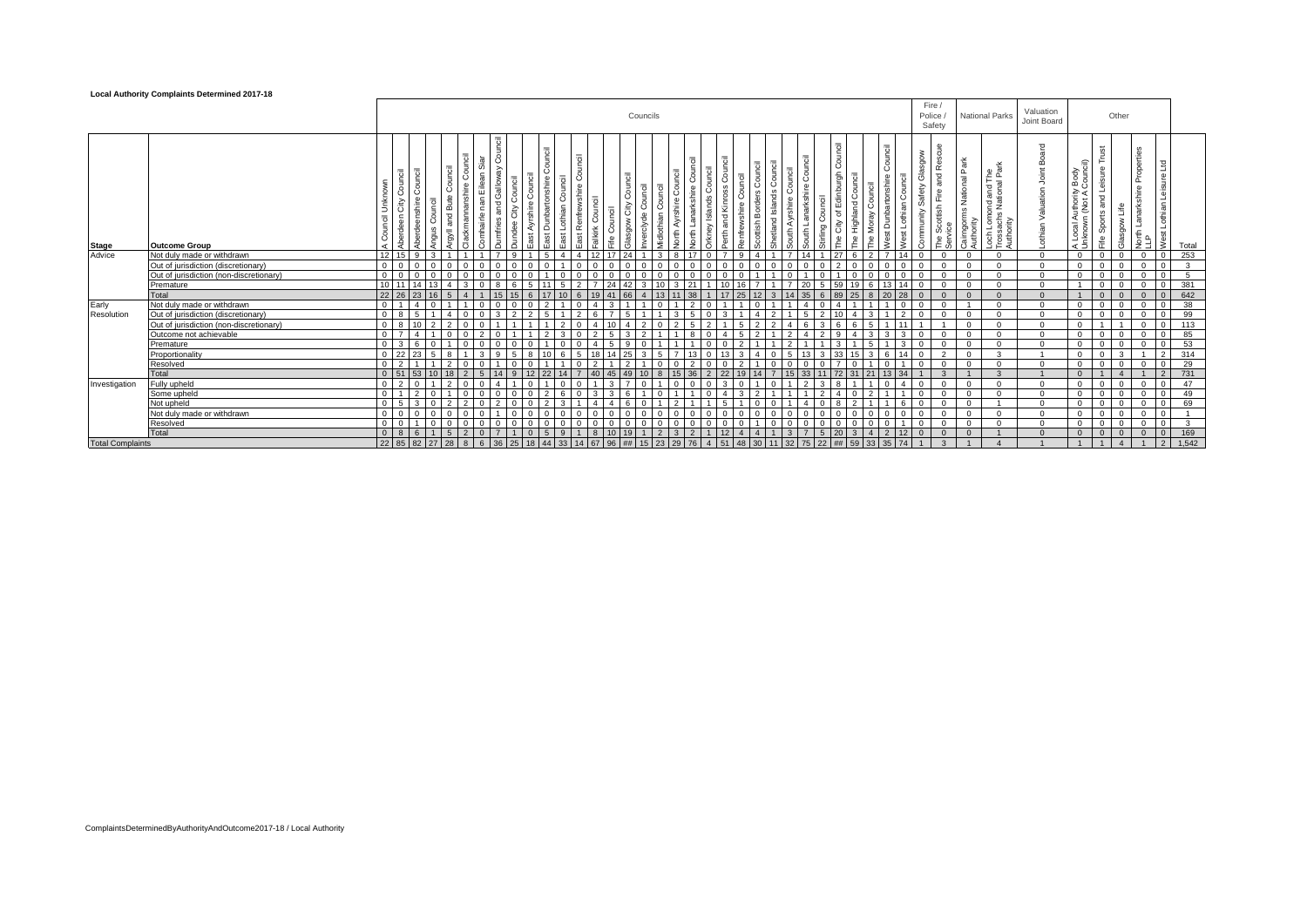#### **Local Authority Complaints Determined 2017-18**

|                         |                                         |                 |                                                              |              |                                 |                                        |                                 |                     |                         |                                     |                                                                              |                   |              |                               | Councils              |                                       |                                      |                                          |                 |                                                  |                  |   |                                              |                                                     |                   |                                |                                         | Fire /<br>Police<br>Safety                               |               |                           | <b>National Parks</b>                                                              | Valuation<br>Joint Board           |                                                       |                                        | Other          |                                                  |                                         |              |
|-------------------------|-----------------------------------------|-----------------|--------------------------------------------------------------|--------------|---------------------------------|----------------------------------------|---------------------------------|---------------------|-------------------------|-------------------------------------|------------------------------------------------------------------------------|-------------------|--------------|-------------------------------|-----------------------|---------------------------------------|--------------------------------------|------------------------------------------|-----------------|--------------------------------------------------|------------------|---|----------------------------------------------|-----------------------------------------------------|-------------------|--------------------------------|-----------------------------------------|----------------------------------------------------------|---------------|---------------------------|------------------------------------------------------------------------------------|------------------------------------|-------------------------------------------------------|----------------------------------------|----------------|--------------------------------------------------|-----------------------------------------|--------------|
| Stage                   | <b>Outcome Group</b>                    | Ē<br>丟          | Council<br>Council<br>deenshire<br>≥<br>Aberdeen<br>ଚ୍ଚ<br>؋ | රී<br>Angus  | Council<br>and Bute<br>$=$<br>я | 도<br>C<br>Eile<br>$\mathbf{a}$<br>kman | <u>i</u><br>$\bar{a}$<br>a<br>¢ | Coun<br>City<br>dee | ouncil<br>Ayrshire<br>ぁ | $=$<br>Counci<br>ast Dunbartonshire | ह<br>Ξ.<br>Council<br>O<br>$\omega$<br>wshir<br>East Lothian<br>۴e<br>st Ren | $\mathbf{\times}$ | Council<br>₩ | 5<br>Coun<br>City<br>₹<br>ops | Counc<br>රි<br>rclyde | 责<br>රි<br>Ĕ<br>a<br>ă<br>dlothi<br>£ | ਨ<br>CD.<br>$\overline{\phantom{0}}$ | $=$<br>and Kinross<br>Perth <sub>2</sub> | Õ<br>nfrewshire | Shetland Islands Coun<br><b>Borders</b><br>ttish | Φ<br>۔<br>چ<br>€ | ீ | Council<br>rling Council<br>$\mathbf \omega$ | nburgh<br>e Highland Council<br>집<br>City of I<br>준 | The Moray Council | Council<br>shire<br>t Dunbarto | Ğ<br>afety<br>ö<br>ommunity<br>t Lothia | Rescue<br>mobsi<br>and<br>Fire<br>Scottish<br><b>The</b> | 허<br>National | Cairngorms h<br>Authority | ond and The<br>National Par<br>ch Lomo<br>ossachs<br>Authority<br>Γros<br>$\sigma$ | Board<br>Joint<br>othian Valuation | ≘<br>Local Authority Body<br>nknown (Not A Couno<br>ď | Trust<br>and Leisure<br>Sports<br>Fife | sgow Life<br>흚 | Propertie<br>$\pmb{\Phi}$<br>arks<br>┙<br>동<br>무 | $_{\text{1rd}}$<br>Nest Lothian Leisure | Total        |
| Advice                  | Not duly made or withdrawn              | 12              | $\alpha$<br>15                                               | $\mathbf{a}$ |                                 |                                        |                                 |                     |                         |                                     | $\boldsymbol{\Lambda}$                                                       | 112               | 17           | 24                            |                       | $\mathcal{R}$                         |                                      |                                          | $\mathbf{q}$    |                                                  | $\overline{ }$   |   | 27                                           | 6                                                   | $\mathcal{P}$     |                                |                                         | $\Omega$                                                 |               | $\Omega$                  | $\Omega$                                                                           | $\cap$                             | $\Omega$                                              | $\Omega$                               | $\Omega$       | $\Omega$                                         | $\Omega$                                | 253          |
|                         | Out of jurisdiction (discretionary)     | $\Omega$        |                                                              |              |                                 |                                        |                                 |                     |                         |                                     |                                                                              |                   |              |                               |                       |                                       |                                      |                                          |                 |                                                  |                  |   |                                              |                                                     |                   |                                | $\Omega$                                |                                                          |               | $\Omega$                  | $\sim$                                                                             | $\Omega$                           | $\Omega$                                              | $\Omega$                               | $\Omega$       | $\Omega$                                         |                                         | $\mathbf{3}$ |
|                         | Out of jurisdiction (non-discretionary) | $\Omega$        |                                                              |              |                                 |                                        |                                 |                     |                         |                                     |                                                                              |                   |              |                               |                       |                                       |                                      |                                          |                 |                                                  |                  |   |                                              |                                                     |                   |                                |                                         |                                                          |               |                           |                                                                                    | $\Omega$                           | $\Omega$                                              | $\Omega$                               |                | $\Omega$                                         |                                         | 5            |
|                         | Premature                               | 10 <sup>1</sup> |                                                              |              |                                 |                                        |                                 |                     |                         |                                     |                                                                              |                   |              |                               |                       |                                       |                                      |                                          |                 |                                                  |                  |   |                                              | 59                                                  |                   |                                |                                         |                                                          |               |                           |                                                                                    | $\Omega$                           |                                                       | $\Omega$                               |                | $\Omega$                                         | $\Omega$                                | 381          |
|                         | Total                                   | $22 \ 26$       |                                                              |              |                                 |                                        |                                 |                     |                         |                                     |                                                                              |                   |              |                               |                       |                                       |                                      |                                          |                 |                                                  |                  |   |                                              |                                                     |                   |                                |                                         |                                                          |               |                           |                                                                                    |                                    |                                                       | $\Omega$                               | $\Omega$       | $\Omega$                                         | $\mathbf{0}$                            | 642          |
| Early                   | Not duly made or withdrawn              | $\overline{0}$  |                                                              |              |                                 |                                        |                                 |                     |                         |                                     |                                                                              |                   |              |                               |                       |                                       |                                      |                                          |                 |                                                  |                  |   |                                              |                                                     |                   |                                |                                         |                                                          |               |                           | $\Omega$                                                                           | $\Omega$                           | $\Omega$                                              | $^{\circ}$                             |                | $\mathbf{0}$                                     | $\mathbf{0}$                            | 38           |
| Resolution              | Out of jurisdiction (discretionary)     | $\Omega$        |                                                              |              |                                 |                                        |                                 |                     |                         |                                     |                                                                              |                   |              |                               |                       |                                       |                                      |                                          |                 |                                                  |                  |   |                                              |                                                     |                   |                                |                                         |                                                          |               | $\Omega$                  | $\Omega$                                                                           | $\Omega$                           | $\Omega$                                              | $\Omega$                               | $\Omega$       | $\Omega$                                         | $\Omega$                                | 99           |
|                         | Out of jurisdiction (non-discretionary) | $\Omega$        | $10^{-1}$                                                    |              |                                 |                                        |                                 |                     |                         |                                     |                                                                              |                   |              |                               |                       |                                       |                                      |                                          |                 |                                                  |                  |   |                                              |                                                     |                   |                                |                                         |                                                          |               | $\Omega$                  | $\Omega$                                                                           | $\Omega$                           | $\Omega$                                              |                                        |                | $\Omega$                                         | $\mathbf{0}$                            | 113          |
|                         | Outcome not achievable                  | $\Omega$        | $\mathbf{A}$                                                 |              |                                 |                                        |                                 |                     |                         |                                     |                                                                              |                   |              |                               |                       |                                       |                                      |                                          |                 |                                                  |                  |   |                                              |                                                     |                   |                                |                                         |                                                          |               | $\Omega$                  | $\cap$                                                                             | $\Omega$                           | $\Omega$                                              | $\Omega$                               | $\Omega$       | $\Omega$                                         | $\Omega$                                | 85           |
|                         | Premature                               | $\Omega$        | $\mathcal{R}$                                                |              |                                 |                                        |                                 |                     |                         |                                     |                                                                              |                   |              |                               |                       |                                       |                                      |                                          |                 |                                                  |                  |   |                                              |                                                     |                   |                                |                                         |                                                          |               | $\Omega$                  | $\Omega$                                                                           | $\Omega$                           | $\Omega$                                              | $\Omega$                               | $\Omega$       | $\Omega$                                         | $\Omega$                                | 53           |
|                         | Proportionality                         | $\Omega$        |                                                              |              |                                 |                                        |                                 |                     |                         |                                     |                                                                              |                   |              |                               |                       |                                       |                                      |                                          |                 |                                                  |                  |   |                                              | 33                                                  |                   |                                |                                         | $\mathcal{L}$                                            |               |                           | $\mathbf{r}$                                                                       |                                    | $\Omega$                                              | $\Omega$                               | $\mathbf{B}$   |                                                  |                                         | 314          |
|                         | Resolved                                | $\Omega$        |                                                              |              |                                 |                                        |                                 |                     |                         |                                     |                                                                              |                   |              |                               |                       |                                       |                                      |                                          |                 |                                                  |                  |   |                                              |                                                     |                   |                                |                                         |                                                          |               | $\Omega$                  | $\cap$                                                                             | $\Omega$                           | $\Omega$                                              | $\Omega$                               | $\Omega$       | $\Omega$                                         | $\Omega$                                | 29           |
|                         | Total                                   | $\Omega$        |                                                              |              |                                 |                                        |                                 |                     |                         |                                     |                                                                              |                   |              |                               |                       |                                       |                                      |                                          |                 |                                                  |                  |   |                                              |                                                     |                   |                                |                                         |                                                          |               |                           |                                                                                    |                                    | $\Omega$                                              |                                        |                |                                                  | $\overline{2}$                          | 731          |
| Investigation           | Fully upheld                            | $\Omega$        |                                                              |              |                                 |                                        |                                 |                     |                         |                                     |                                                                              |                   |              |                               |                       |                                       |                                      |                                          |                 |                                                  |                  |   |                                              |                                                     |                   |                                |                                         | $\Omega$                                                 |               | $\Omega$                  | $\Omega$                                                                           | $\Omega$                           | $\Omega$                                              | $\Omega$                               | $\Omega$       | $\Omega$                                         |                                         | 47           |
|                         | Some upheld                             | $\Omega$        | $\mathfrak{D}$                                               |              |                                 |                                        |                                 |                     |                         |                                     |                                                                              |                   |              |                               |                       |                                       |                                      |                                          |                 |                                                  |                  |   |                                              |                                                     |                   |                                |                                         |                                                          |               | $\Omega$                  |                                                                                    | $\Omega$                           | $\Omega$                                              | $\Omega$                               | $\Omega$       | $\Omega$                                         | $\mathbf{0}$                            | 49           |
|                         | Not upheld                              | $\Omega$        |                                                              |              |                                 |                                        |                                 |                     |                         |                                     |                                                                              |                   |              |                               |                       |                                       |                                      |                                          |                 |                                                  |                  |   |                                              |                                                     |                   |                                |                                         |                                                          |               | $\Omega$                  |                                                                                    | $\Omega$                           | $\Omega$                                              | $\Omega$                               | $\Omega$       | $\mathbf{0}$                                     | $\mathbf{0}$                            | 69           |
|                         | Not duly made or withdrawn              | $\Omega$        |                                                              |              |                                 |                                        |                                 |                     |                         |                                     |                                                                              |                   |              |                               |                       |                                       |                                      |                                          |                 |                                                  |                  |   |                                              |                                                     |                   |                                |                                         |                                                          |               | $\Omega$                  |                                                                                    | $\Omega$                           | $\Omega$                                              | $\Omega$                               | $\Omega$       | $\Omega$                                         | $\Omega$                                |              |
|                         | Resolved                                | $\overline{0}$  |                                                              |              |                                 |                                        |                                 |                     |                         |                                     |                                                                              |                   |              |                               |                       |                                       |                                      |                                          |                 |                                                  |                  |   |                                              |                                                     |                   |                                |                                         | $\Omega$                                                 |               | $\Omega$                  | $\Omega$                                                                           | $\Omega$                           | $\Omega$                                              | $\overline{0}$                         | $\Omega$       | $^{\circ}$                                       | $\mathbf{0}$                            | $\mathbf{3}$ |
|                         | Total                                   | $\Omega$        | 8                                                            |              |                                 |                                        |                                 |                     | $\Omega$                |                                     | $\mathbf{Q}$                                                                 |                   |              | 19                            |                       |                                       |                                      |                                          | $\overline{A}$  |                                                  |                  |   |                                              | $20 -$                                              |                   |                                |                                         |                                                          |               |                           |                                                                                    |                                    | $\Omega$                                              | $\Omega$                               | $\Omega$       | $\Omega$                                         | $\mathbf{0}$                            | 169          |
| <b>Total Complaints</b> |                                         | 22 85           | 82                                                           | 27           | 28                              | 8                                      | 36                              | 25                  |                         | 44                                  | 33                                                                           |                   | 96           | ##                            |                       | 23<br>29                              |                                      |                                          | 48              | 30                                               | 32               |   | 22                                           | 59<br>##                                            | 33                | 35 74                          |                                         | $\mathbf{\hat{z}}$                                       |               |                           |                                                                                    |                                    |                                                       |                                        | $\mathbf{A}$   | $\overline{1}$                                   | $\overline{2}$                          | 1.542        |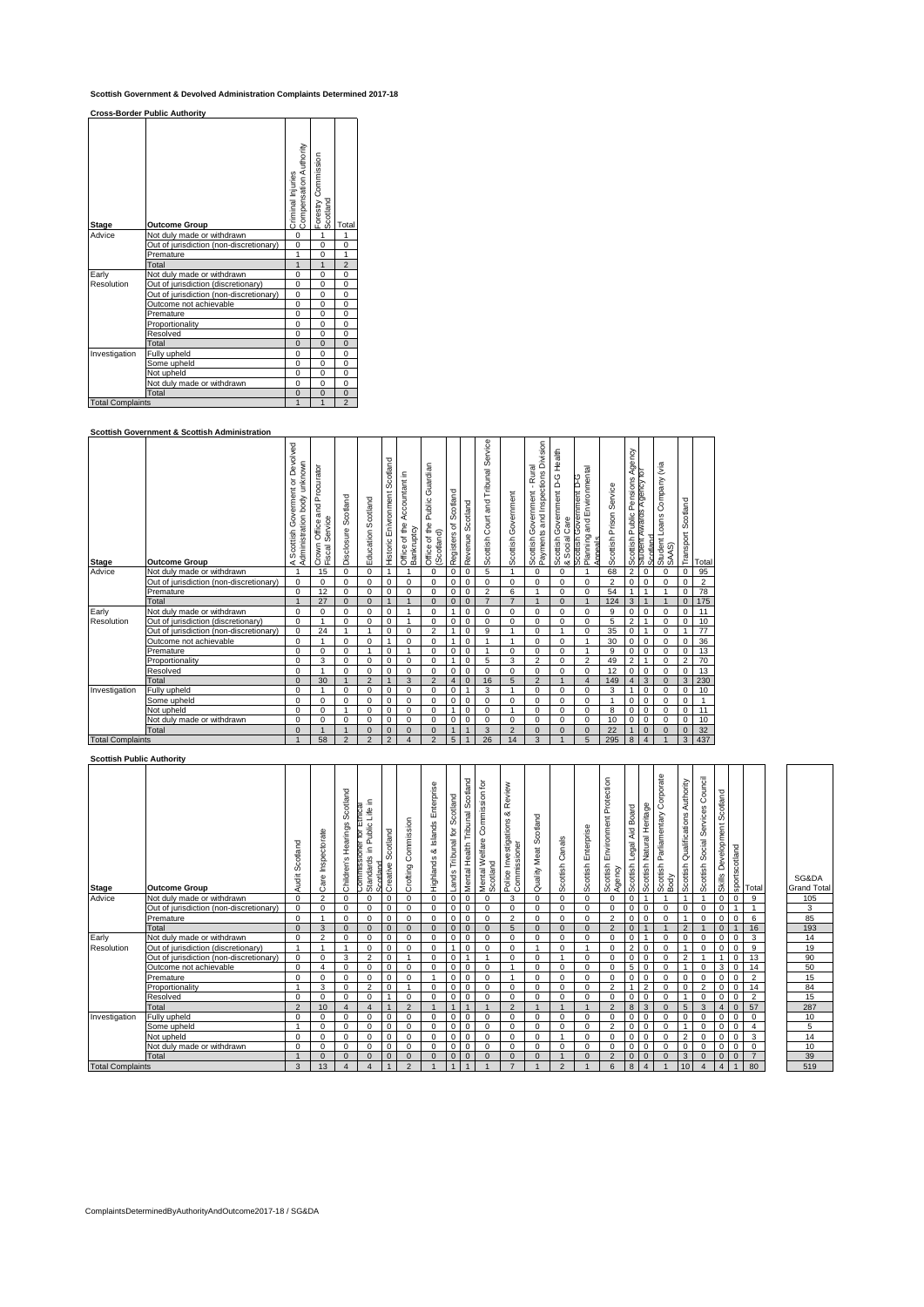## **Scottish Government & Devolved Administration Complaints Determined 2017-18**

**Cross-Border Public Authority**

|                         | <b>Cross-Border Public Authority</b>    |                                             |                                 |                |
|-------------------------|-----------------------------------------|---------------------------------------------|---------------------------------|----------------|
| <b>Stage</b>            | <b>Outcome Group</b>                    | Compensation Authority<br>Criminal Injuries | Forestry Commission<br>Scotland | Total          |
| Advice                  | Not duly made or withdrawn              | 0                                           | $\mathbf{1}$                    | 1              |
|                         | Out of jurisdiction (non-discretionary) | $\Omega$                                    | $\mathbf 0$                     | 0              |
|                         | Premature                               | 1                                           | 0                               | $\mathbf{1}$   |
|                         | Total                                   | $\overline{1}$                              | $\overline{1}$                  | $\overline{c}$ |
| Early                   | Not duly made or withdrawn              | 0                                           | 0                               | 0              |
| Resolution              | Out of jurisdiction (discretionary)     | $\Omega$                                    | $\mathbf 0$                     | 0              |
|                         | Out of jurisdiction (non-discretionary) | 0                                           | 0                               | 0              |
|                         | Outcome not achievable                  | $\Omega$                                    | 0                               | 0              |
|                         | Premature                               | 0                                           | 0                               | 0              |
|                         | Proportionality                         | $\Omega$                                    | $\mathbf 0$                     | 0              |
|                         | Resolved                                | 0                                           | 0                               | 0              |
|                         | Total                                   | $\Omega$                                    | $\Omega$                        | $\overline{0}$ |
| Investigation           | Fully upheld                            | 0                                           | 0                               | 0              |
|                         | Some upheld                             | $\Omega$                                    | $\mathbf 0$                     | 0              |
|                         | Not upheld                              | 0                                           | 0                               | 0              |
|                         | Not duly made or withdrawn              | $\Omega$                                    | $\Omega$                        | 0              |
|                         | Total                                   | $\Omega$                                    | $\Omega$                        | $\overline{0}$ |
| <b>Total Complaints</b> |                                         | $\overline{1}$                              | $\mathbf{1}$                    | $\overline{2}$ |

## **Scottish Government & Scottish Administration**

| <b>Stage</b>            | <b>Outcome Group</b>                    | Goverment or Devolved<br>body unknown<br>Administration<br>Scottish<br>⋖ | Procurator<br>and<br>Service<br>Office<br>Crown<br>Fiscal ! | Scotland<br>Disclosure  | Education Scotland | Scotland<br>Enivronment<br>Historic | Accountant in<br>Office of the<br>Bankruptcy | Guardian<br>Public<br>of the<br>(Scotland)<br>Office | Scotland<br>৳<br>Registers | Scotland<br>Revenue | Service<br>Tribunal<br>Court and<br>Scottish | Government<br>Scottish | Division<br>Rural<br>and Inspections<br>Government<br>Payments<br>Scottish | Health<br>C-G<br>Government<br>Care<br>Social<br>Scottish<br>ಹ | Environmental<br>Scottish Government D-G<br>and<br>Planning<br>Appeals | Scottish Prison Service | gency<br>∢<br>ensions<br>ó.<br>ublic<br>Δ.<br>Scottish | Iб<br>Agency<br>Rwards<br>Scotland<br>student | Company (via<br>Student Loans<br>SAAS) | Scotland<br>Transport | Total          |
|-------------------------|-----------------------------------------|--------------------------------------------------------------------------|-------------------------------------------------------------|-------------------------|--------------------|-------------------------------------|----------------------------------------------|------------------------------------------------------|----------------------------|---------------------|----------------------------------------------|------------------------|----------------------------------------------------------------------------|----------------------------------------------------------------|------------------------------------------------------------------------|-------------------------|--------------------------------------------------------|-----------------------------------------------|----------------------------------------|-----------------------|----------------|
| Advice                  | Not duly made or withdrawn              |                                                                          | 15                                                          | $\Omega$                | $\Omega$           | 1                                   |                                              | 0                                                    | 0                          | $\mathbf 0$         | 5                                            |                        | $\Omega$                                                                   | 0                                                              |                                                                        | 68                      | $\overline{2}$                                         | $\mathbf 0$                                   | $\Omega$                               | $\Omega$              | 95             |
|                         | Out of jurisdiction (non-discretionary) | $\Omega$                                                                 | $\Omega$                                                    | $\Omega$                | $\Omega$           | $\Omega$                            | $\Omega$                                     | $\Omega$                                             | 0                          | $\mathbf 0$         | $\Omega$                                     | $\Omega$               | $\Omega$                                                                   | $\Omega$                                                       | $\Omega$                                                               | $\overline{2}$          | $\Omega$                                               | $\Omega$                                      | $\Omega$                               | $\Omega$              | $\overline{2}$ |
|                         | Premature                               | 0                                                                        | 12                                                          | $\mathbf 0$             | $\Omega$           | 0                                   | $\Omega$                                     | $\mathbf 0$                                          | 0                          | $\mathbf 0$         | $\overline{2}$                               | 6                      |                                                                            | $\Omega$                                                       | $\Omega$                                                               | 54                      |                                                        | 1                                             |                                        | $\mathbf 0$           | 78             |
|                         | Total                                   | $\mathbf{1}$                                                             | 27                                                          | $\Omega$                | $\Omega$           | $\overline{1}$                      | $\mathbf{1}$                                 | $\Omega$                                             | $\mathbf{0}$               | $\mathbf{0}$        | $\overline{7}$                               | $\overline{7}$         | $\overline{1}$                                                             | $\Omega$                                                       | $\mathbf{1}$                                                           | 124                     | 3                                                      | 1                                             |                                        | $\mathbf{0}$          | 175            |
| Early                   | Not duly made or withdrawn              | 0                                                                        | 0                                                           | $\Omega$                | $\Omega$           | 0                                   |                                              | $\Omega$                                             | $\mathbf{1}$               | $\mathbf 0$         | 0                                            | $\mathbf 0$            | $\Omega$                                                                   | $\Omega$                                                       | $\Omega$                                                               | 9                       | 0                                                      | $\mathbf 0$                                   | $\Omega$                               | $\mathbf 0$           | 11             |
| Resolution              | Out of jurisdiction (discretionary)     | $\Omega$                                                                 |                                                             | $\Omega$                | $\Omega$           | $\Omega$                            |                                              | $\Omega$                                             | 0                          | $\mathbf 0$         | $\Omega$                                     | $\Omega$               | $\Omega$                                                                   | $\Omega$                                                       | $\Omega$                                                               | 5                       | $\overline{2}$                                         | 1                                             | $\Omega$                               | $\mathbf 0$           | 10             |
|                         | Out of jurisdiction (non-discretionary) | 0                                                                        | 24                                                          |                         | 1                  | 0                                   | $\mathbf 0$                                  | $\overline{2}$                                       | 1                          | $\mathbf 0$         | 9                                            |                        | $\Omega$                                                                   | 1                                                              | $\mathbf 0$                                                            | 35                      | 0                                                      | $\mathbf{1}$                                  | $\Omega$                               |                       | 77             |
|                         | Outcome not achievable                  | $\Omega$                                                                 |                                                             | $\Omega$                | $\Omega$           | 1                                   | 0                                            | 0                                                    |                            | 0                   |                                              |                        | $\Omega$                                                                   | 0                                                              |                                                                        | 30                      | 0                                                      | $^{\circ}$                                    | $\Omega$                               | 0                     | 36             |
|                         | Premature                               | $\Omega$                                                                 | $\Omega$                                                    | $\Omega$                | 1                  | $\Omega$                            | $\overline{1}$                               | $\Omega$                                             | 0                          | $\mathbf 0$         |                                              | $\Omega$               | $\Omega$                                                                   | $\Omega$                                                       | 1                                                                      | 9                       | 0                                                      | $\mathbf 0$                                   | $\Omega$                               | $\mathbf 0$           | 13             |
|                         | Proportionality                         | $\Omega$                                                                 | 3                                                           | $\Omega$                | $\Omega$           | 0                                   | $\mathbf 0$                                  | $\Omega$                                             | $\mathbf{1}$               | $\mathbf 0$         | 5                                            | 3                      | $\overline{2}$                                                             | $\Omega$                                                       | $\overline{2}$                                                         | 49                      | $\overline{2}$                                         | 1                                             | $\Omega$                               | $\overline{2}$        | 70             |
|                         | Resolved                                | $\Omega$                                                                 |                                                             | $\Omega$                | $\Omega$           | $\Omega$                            | $\mathbf 0$                                  | $\Omega$                                             | 0                          | $\mathbf 0$         | 0                                            | $\Omega$               | $\Omega$                                                                   | $\Omega$                                                       | $\Omega$                                                               | 12                      | $\Omega$                                               | $\mathbf 0$                                   | $\Omega$                               | $\mathbf 0$           | 13             |
|                         | Total                                   | $\Omega$                                                                 | 30                                                          |                         | $\overline{2}$     | 1                                   | 3                                            | $\overline{2}$                                       | $\overline{4}$             | $\mathbf{0}$        | 16                                           | 5                      | $\overline{2}$                                                             |                                                                | $\overline{4}$                                                         | 149                     | 4                                                      | 3                                             | $\Omega$                               | 3                     | 230            |
| Investigation           | Fully upheld                            | 0                                                                        |                                                             | 0                       | $\Omega$           | 0                                   | $\mathbf 0$                                  | 0                                                    | 0                          |                     | 3                                            |                        | $\Omega$                                                                   | 0                                                              | 0                                                                      | 3                       |                                                        | $\mathbf 0$                                   | $\Omega$                               | $\mathbf 0$           | 10             |
|                         | Some upheld                             | $\Omega$                                                                 | $\Omega$                                                    | $\Omega$                | $\Omega$           | $\Omega$                            | 0                                            | $\Omega$                                             | 0                          | 0                   | $\Omega$                                     | $\Omega$               | $\Omega$                                                                   | $\Omega$                                                       | $\Omega$                                                               | 1                       | 0                                                      | $\mathbf 0$                                   | $\Omega$                               | $\mathbf 0$           |                |
|                         | Not upheld                              | $\Omega$                                                                 | $\Omega$                                                    |                         | $\Omega$           | $\Omega$                            | 0                                            | $\Omega$                                             |                            | 0                   | $\Omega$                                     |                        | $\Omega$                                                                   | $\Omega$                                                       | $\Omega$                                                               | 8                       | 0                                                      | $\mathbf 0$                                   | $\Omega$                               | $\Omega$              | 11             |
|                         | Not duly made or withdrawn              | $\Omega$                                                                 | 0                                                           | $\Omega$                | $\Omega$           | $\Omega$                            | $\Omega$                                     | $\Omega$                                             | 0                          | $\Omega$            | 0                                            | $\Omega$               | $\Omega$                                                                   | $\Omega$                                                       | $\Omega$                                                               | 10                      | $\Omega$                                               | $\Omega$                                      | $\Omega$                               | $\Omega$              | 10             |
|                         | Total                                   | $\Omega$                                                                 |                                                             |                         | $\Omega$           | $\Omega$                            | $\Omega$                                     | $\Omega$                                             | $\mathbf{1}$               | $\mathbf{1}$        | 3                                            | $\overline{2}$         | $\Omega$                                                                   | $\Omega$                                                       | $\Omega$                                                               | 22                      | $\mathbf{1}$                                           | $\mathbf{0}$                                  |                                        | $\mathbf{0}$          | 32             |
| <b>Total Complaints</b> |                                         |                                                                          | 58                                                          | $\overline{\mathbf{c}}$ | $\overline{2}$     | $\overline{2}$                      | $\overline{4}$                               | $\overline{2}$                                       | 5                          |                     | 26                                           | 14                     | 3                                                                          |                                                                | 5                                                                      | 295                     | 8                                                      | $\overline{4}$                                |                                        | 3                     | 437            |

 $\overline{\phantom{a}}$ 

## **Scottish Public Authority**

| <b>Stage</b>            | <b>Outcome Group</b>                    | Scotland<br>Audit | Inspectorate<br>Care | Scotland<br>Hearings<br>Children's | пса<br>Life<br>Public<br>þ<br>ioner<br>Commissione<br>Standards in I<br>Scotland | cotland<br>Ō<br>Creative | Commission<br>Crofting | Enterprise<br>& Islands<br>Highlands | cotland<br>Ō<br>Tribunal for<br>Lands | cotland<br>Ø<br>Mental Health Tribunal | Commission for<br>Mental Welfare<br>Scotland | Review<br>య<br>estigations<br>Commissioner<br>ξ<br>Police | Scotland<br>Quality Meat | Canals<br>Scottish | Scottish Enterprise | Protection<br>Environment<br>Scottish<br>Agency | Aid Board<br>Legal<br>Scottish | Scottish Natural Heritage | orporate<br>Ō<br>Parliamentary<br>Scottish I<br>Body | Authority<br>Qualifications<br>Scottish | Council<br>Services<br>Social:<br>Scottish | Development Scotland<br>Skills |              | <b>Sportscotland</b><br>Sportscotland | SG&D<br>Grand <sup>-</sup> |
|-------------------------|-----------------------------------------|-------------------|----------------------|------------------------------------|----------------------------------------------------------------------------------|--------------------------|------------------------|--------------------------------------|---------------------------------------|----------------------------------------|----------------------------------------------|-----------------------------------------------------------|--------------------------|--------------------|---------------------|-------------------------------------------------|--------------------------------|---------------------------|------------------------------------------------------|-----------------------------------------|--------------------------------------------|--------------------------------|--------------|---------------------------------------|----------------------------|
| Advice                  | Not duly made or withdrawn              | $\Omega$          | $\overline{2}$       | $\mathbf 0$                        | $\Omega$                                                                         | 0                        | $\Omega$               | $\Omega$                             | 0                                     | $\mathbf 0$                            | $\Omega$                                     | 3                                                         | $\mathbf 0$              | $\Omega$           | $\Omega$            | $\Omega$                                        | $\mathbf 0$                    |                           |                                                      | $\mathbf{1}$                            |                                            | $\mathbf{0}$                   | $\mathbf 0$  | 9                                     | 105                        |
|                         | Out of jurisdiction (non-discretionary) | $\Omega$          | $\mathbf 0$          | $\mathbf 0$                        | $\Omega$                                                                         | $\mathbf 0$              | $\mathbf 0$            | $\Omega$                             | $\mathbf 0$                           | $\mathbf 0$                            | $\Omega$                                     | $\Omega$                                                  | $\mathbf 0$              | $\Omega$           | $\Omega$            |                                                 | $\mathbf 0$                    | $\mathbf 0$               | $\Omega$                                             | $\mathbf 0$                             | 0                                          | 0                              |              |                                       | 3                          |
|                         | Premature                               | $\mathbf 0$       |                      | $\mathbf 0$                        | $\Omega$                                                                         | $\mathbf 0$              | $\mathbf 0$            | $\Omega$                             | $\mathbf 0$                           | $\mathbf 0$                            | 0                                            | $\overline{2}$                                            | $\mathbf 0$              | 0                  | 0                   | $\mathfrak{p}$                                  | $\mathbf 0$                    | $\mathbf 0$               | $\Omega$                                             | $\overline{ }$                          | 0                                          | $\mathbf 0$                    | $\mathbf 0$  | 6                                     | 85                         |
|                         | Total                                   | $\Omega$          | 3                    | $\Omega$                           | $\Omega$                                                                         | $\mathbf{0}$             | $\mathbf{0}$           | $\Omega$                             | $\Omega$                              | $\Omega$                               | $\Omega$                                     | 5                                                         | $\Omega$                 | $\Omega$           | $\Omega$            | $\overline{2}$                                  | $\mathbf{0}$                   | $\overline{1}$            |                                                      | $\overline{2}$                          |                                            | $\overline{0}$                 |              | 16                                    | 193                        |
| Early                   | Not duly made or withdrawn              | $\Omega$          | $\overline{2}$       | $\mathbf 0$                        | $\Omega$                                                                         | $\mathbf 0$              | $\Omega$               | $\Omega$                             | $\mathbf 0$                           | $\mathbf 0$                            | $\Omega$                                     | $\Omega$                                                  | $\mathbf 0$              | $\Omega$           | $\Omega$            |                                                 | $\mathbf 0$                    | -1                        | $\mathbf 0$                                          | $\mathbf 0$                             | 0                                          | $\mathbf{0}$                   | $\mathbf 0$  | 3                                     | 14                         |
| Resolution              | Out of jurisdiction (discretionary)     |                   |                      | $\overline{ }$                     | 0                                                                                | $\mathbf 0$              | 0                      | 0                                    |                                       | 0                                      | 0                                            | $\Omega$                                                  | $\overline{1}$           | 0                  | 1                   | $\Omega$                                        | $\overline{2}$                 | $\mathbf 0$               | 0                                                    | $\mathbf{1}$                            | 0                                          | $\mathbf{0}$                   | $\mathbf 0$  | 9                                     | 19                         |
|                         | Out of jurisdiction (non-discretionary) | $\Omega$          | 0                    | 3                                  | $\overline{2}$                                                                   | $\mathbf 0$              |                        | $\Omega$                             | 0                                     |                                        |                                              | $\Omega$                                                  | $\mathbf 0$              |                    | $\Omega$            |                                                 | $\mathbf 0$                    | $\mathbf 0$               | 0                                                    | $\overline{2}$                          | 1                                          | 1                              | $\mathbf 0$  | 13                                    | 90                         |
|                         | Outcome not achievable                  | $\Omega$          | 4                    | 0                                  | $\Omega$                                                                         | 0                        | $\Omega$               | $\Omega$                             | $\mathbf 0$                           | $\mathbf 0$                            | $\Omega$                                     |                                                           | $\Omega$                 | $\Omega$           | $\Omega$            | $\Omega$                                        | 5                              | $\mathbf{0}$              | 0                                                    | 1                                       | $\Omega$                                   | $\mathbf{3}$                   | $\mathbf 0$  | 14                                    | 50                         |
|                         | Premature                               | $\Omega$          | $\mathbf 0$          | $\mathbf 0$                        | $\mathbf 0$                                                                      | $\mathbf 0$              | $\mathbf 0$            |                                      | 0                                     | $\mathbf 0$                            | $\Omega$                                     |                                                           | $\Omega$                 | 0                  | $\Omega$            | $\Omega$                                        | $\mathsf 0$                    | $\mathbf{0}$              | $\mathbf 0$                                          | 0                                       | 0                                          | $\mathbf{0}$                   | $\mathbf 0$  | $\overline{2}$                        | 15                         |
|                         | Proportionality                         |                   | 3                    | 0                                  | $\mathfrak{p}$                                                                   | 0                        |                        | $\Omega$                             | $\mathbf 0$                           | 0                                      | $\Omega$                                     | $\Omega$                                                  | $\mathbf 0$              | 0                  | $\Omega$            | $\mathcal{P}$                                   | $\overline{ }$                 | $\overline{2}$            | 0                                                    | $\mathbf 0$                             | $\overline{2}$                             | $\mathbf{0}$                   | $\mathbf 0$  | 14                                    | 84                         |
|                         | Resolved                                | $\Omega$          | $\mathbf 0$          | $\mathbf 0$                        | $\Omega$                                                                         | 1                        | $\Omega$               | $\Omega$                             | $\mathbf 0$                           | $\Omega$                               | $\Omega$                                     | $\Omega$                                                  | $\mathbf 0$              | $\Omega$           | $\Omega$            |                                                 | 0                              | $\mathbf 0$               | 0                                                    | $\mathbf{1}$                            | 0                                          | 0                              | $\mathbf 0$  | $\overline{2}$                        | 15                         |
|                         | Total                                   | $\overline{2}$    | 10                   | $\overline{4}$                     |                                                                                  | $\overline{1}$           | $\overline{2}$         |                                      | $\overline{1}$                        |                                        |                                              | $\overline{2}$                                            | $\overline{\mathbf{1}}$  |                    |                     | $\mathfrak{D}$                                  | 8                              | $\mathbf{3}$              | $\Omega$                                             | 5                                       | 3                                          | $\overline{4}$                 | $\mathbf{0}$ | 57                                    | 287                        |
| Investigation           | Fully upheld                            | $\Omega$          | $\mathbf 0$          | $\mathbf 0$                        | $\Omega$                                                                         | 0                        | $\Omega$               | $\Omega$                             | $\mathbf 0$                           | 0                                      | $\Omega$                                     | $\Omega$                                                  | $\Omega$                 | $\Omega$           | $\Omega$            | $\Omega$                                        | $\mathbf 0$                    | $\mathbf{0}$              | $\Omega$                                             | $\mathbf 0$                             | 0                                          | $\mathbf{0}$                   | $\mathbf 0$  | $\mathbf 0$                           | 10                         |
|                         | Some upheld                             |                   | $\Omega$             | $\Omega$                           | $\Omega$                                                                         | 0                        | $\Omega$               | $\Omega$                             | $\Omega$                              | $\Omega$                               | $\Omega$                                     | $\Omega$                                                  | $\Omega$                 | $\Omega$           | $\Omega$            | $\mathcal{P}$                                   | $\mathbf 0$                    | $\mathbf 0$               | $\Omega$                                             | $\overline{1}$                          | $\Omega$                                   | $\mathbf 0$                    | $\Omega$     | $\overline{4}$                        | 5                          |
|                         | Not upheld                              | $\Omega$          | $\Omega$             | $\Omega$                           | $\Omega$                                                                         | 0                        | $\Omega$               | $\Omega$                             | $\Omega$                              | $\Omega$                               | $\Omega$                                     | $\Omega$                                                  | $\Omega$                 |                    | $\Omega$            |                                                 | $\mathbf 0$                    | $\mathbf 0$               | $\Omega$                                             | $\overline{2}$                          | $\Omega$                                   | $\mathbf 0$                    | $\Omega$     | 3                                     | 14                         |
|                         | Not duly made or withdrawn              | $\Omega$          | $\Omega$             | 0                                  |                                                                                  | 0                        | $\Omega$               | $\Omega$                             | 0                                     | 0                                      | $\Omega$                                     | $\Omega$                                                  | $\mathbf 0$              | $\Omega$           | $\Omega$            |                                                 | 0                              | $\mathbf 0$               | 0                                                    | $\mathbf 0$                             | 0                                          | $\mathbf{0}$                   | $\mathbf 0$  | $\mathbf 0$                           | 10                         |
|                         | Total                                   |                   | $\Omega$             | $\Omega$                           |                                                                                  | $\Omega$                 | $\Omega$               | $\Omega$                             | $\Omega$                              | $\Omega$                               | $\Omega$                                     | $\Omega$                                                  | $\Omega$                 |                    | $\Omega$            |                                                 | $\mathbf{0}$                   | $\Omega$                  | $\Omega$                                             | 3                                       | $\Omega$                                   | $\mathbf{0}$                   | $\Omega$     | $\overline{z}$                        | 39                         |
| <b>Total Complaints</b> |                                         | 3                 | 13                   | $\Delta$                           |                                                                                  |                          | $\overline{2}$         |                                      |                                       |                                        |                                              |                                                           |                          | $\overline{2}$     |                     | 6                                               | 8                              | $\overline{4}$            |                                                      | 10                                      | $\overline{4}$                             | $\overline{4}$                 |              | 80                                    | 519                        |

| SG&DA                                           |  |
|-------------------------------------------------|--|
| <b>Grand Total</b>                              |  |
|                                                 |  |
| $\frac{105}{3}$                                 |  |
| 193                                             |  |
|                                                 |  |
| $\frac{14}{19}$ $\frac{19}{50}$ $\frac{50}{15}$ |  |
|                                                 |  |
|                                                 |  |
|                                                 |  |
| $\frac{84}{15}$<br>287                          |  |
|                                                 |  |
|                                                 |  |
| 10                                              |  |
| $\overline{5}$                                  |  |
| $\overline{14}$                                 |  |
| 10                                              |  |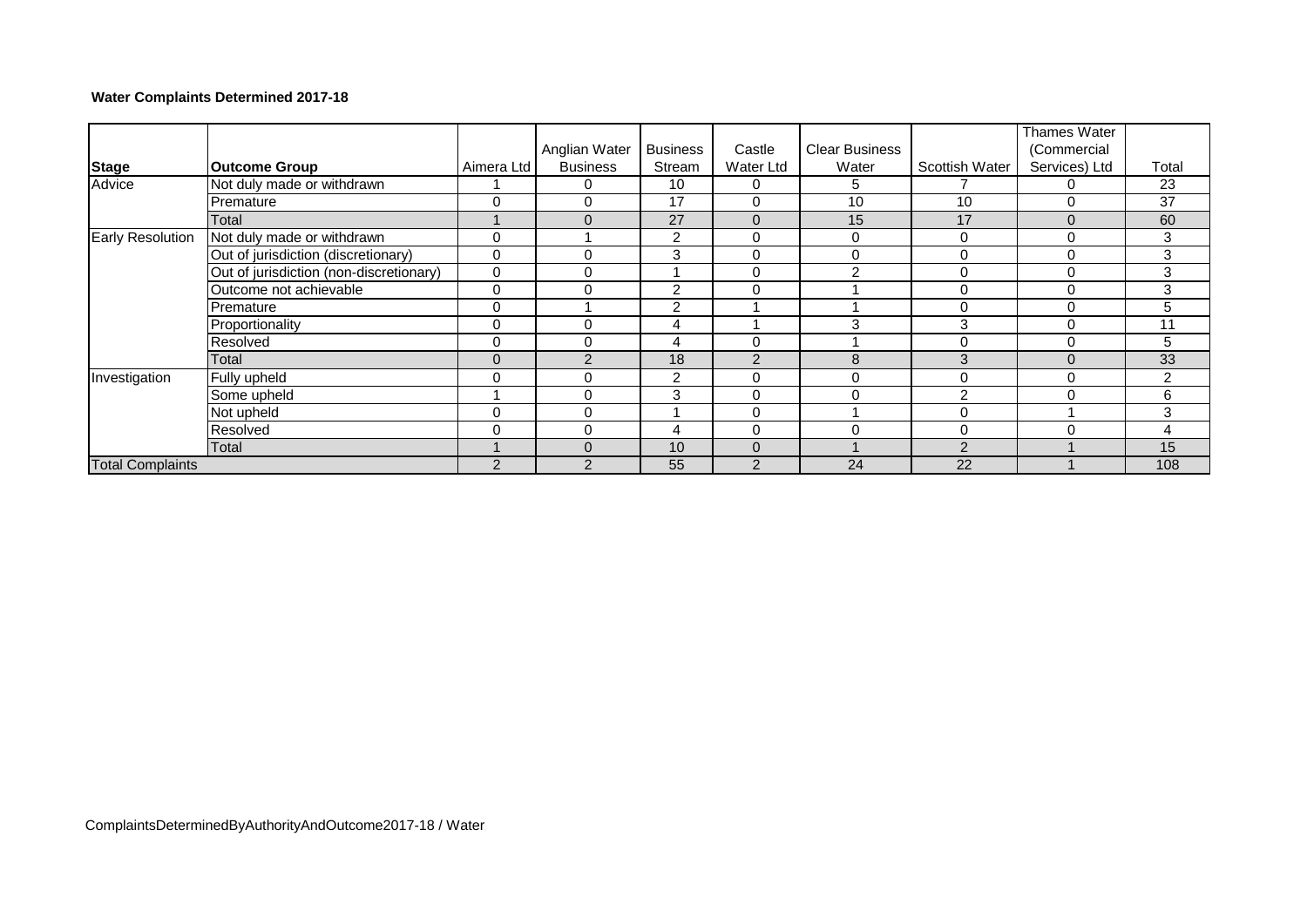# **Water Complaints Determined 2017-18**

|                         |                                         |                | Anglian Water   | <b>Business</b> | Castle         | <b>Clear Business</b> |                | Thames Water<br>(Commercial |       |
|-------------------------|-----------------------------------------|----------------|-----------------|-----------------|----------------|-----------------------|----------------|-----------------------------|-------|
| <b>Stage</b>            | <b>Outcome Group</b>                    | Aimera Ltd     | <b>Business</b> | Stream          | Water Ltd      | Water                 | Scottish Water | Services) Ltd               | Total |
| Advice                  | Not duly made or withdrawn              |                |                 | 10              | 0              | 5                     |                | O                           | 23    |
|                         | Premature                               | 0              | 0               | 17              | $\Omega$       | 10                    | 10             | 0                           | 37    |
|                         | Total                                   |                | $\Omega$        | 27              | $\Omega$       | 15                    | 17             | $\Omega$                    | 60    |
| <b>Early Resolution</b> | Not duly made or withdrawn              | 0              |                 | 2               | 0              | 0                     | 0              | 0                           | 3     |
|                         | Out of jurisdiction (discretionary)     | 0              | $\Omega$        | 3               | $\Omega$       | 0                     | 0              | 0                           | 3     |
|                         | Out of jurisdiction (non-discretionary) | $\mathbf 0$    | 0               |                 | $\Omega$       | $\mathcal{P}$         | $\mathbf 0$    | 0                           | 3     |
|                         | Outcome not achievable                  | $\Omega$       | $\Omega$        | 2               | $\Omega$       |                       | 0              | 0                           | 3     |
|                         | Premature                               | 0              |                 | 2               |                |                       | 0              | 0                           | 5     |
|                         | Proportionality                         | $\Omega$       | $\Omega$        | 4               |                | 3                     | 3              | 0                           | 11    |
|                         | Resolved                                | $\Omega$       | $\Omega$        | 4               | $\Omega$       |                       | 0              | 0                           | 5     |
|                         | Total                                   | 0              | $\mathcal{P}$   | 18              | $\overline{2}$ | 8                     | 3              | $\Omega$                    | 33    |
| Investigation           | Fully upheld                            | $\Omega$       | $\Omega$        | 2               | $\Omega$       | $\Omega$              | 0              | 0                           | 2     |
|                         | Some upheld                             |                | $\Omega$        | 3               | $\Omega$       | $\Omega$              | $\overline{2}$ | 0                           | 6     |
|                         | Not upheld                              | 0              | 0               |                 | $\mathbf 0$    |                       | 0              |                             | 3     |
|                         | Resolved                                | 0              | 0               | 4               | $\Omega$       | 0                     | 0              | 0                           | 4     |
|                         | Total                                   |                | $\Omega$        | 10              | $\Omega$       |                       | $\mathcal{P}$  |                             | 15    |
| <b>Total Complaints</b> |                                         | $\overline{2}$ | $\mathfrak{p}$  | 55              | $\overline{2}$ | 24                    | 22             |                             | 108   |